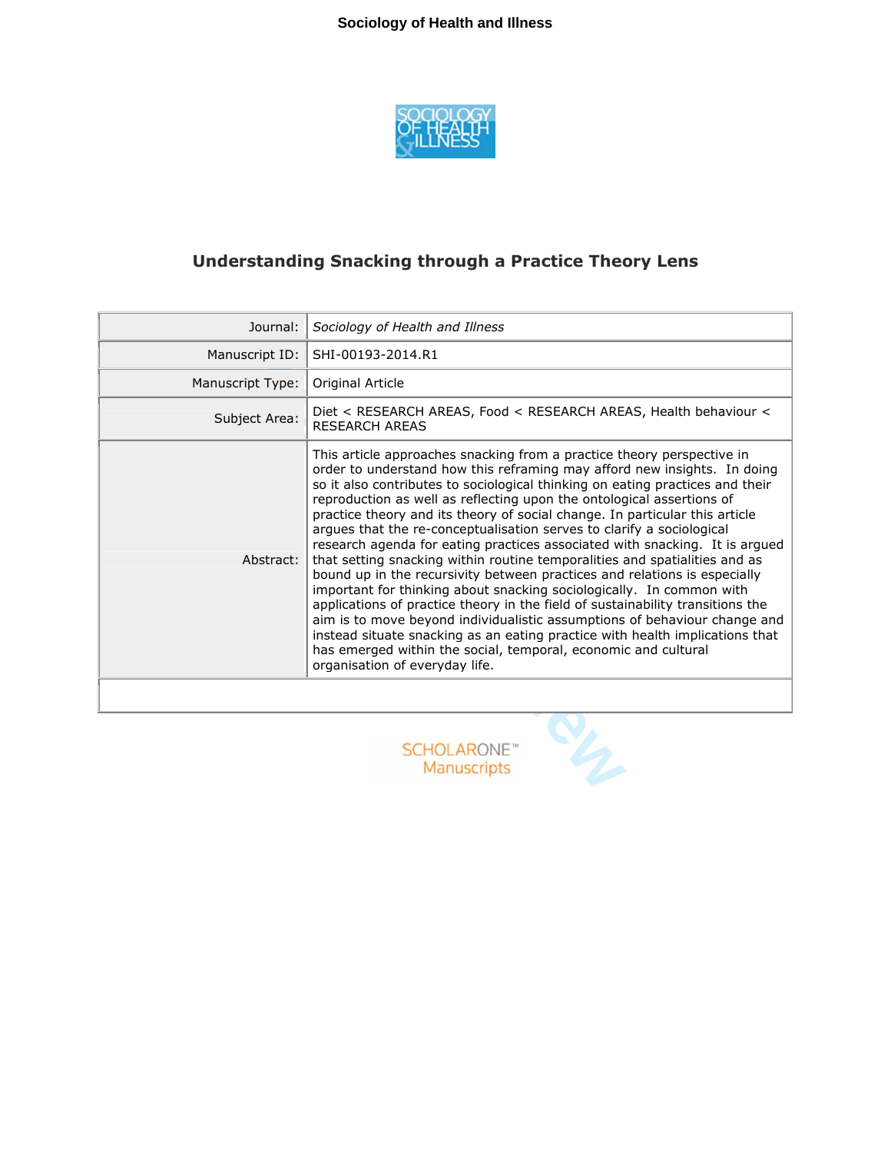

# **Understanding Snacking through a Practice Theory Lens**

| Journal:                                 | Sociology of Health and Illness                                                                                                                                                                                                                                                                                                                                                                                                                                                                                                                                                                                                                                                                                                                                                                                                                                                                                                                                                                                                                                                                                                           |
|------------------------------------------|-------------------------------------------------------------------------------------------------------------------------------------------------------------------------------------------------------------------------------------------------------------------------------------------------------------------------------------------------------------------------------------------------------------------------------------------------------------------------------------------------------------------------------------------------------------------------------------------------------------------------------------------------------------------------------------------------------------------------------------------------------------------------------------------------------------------------------------------------------------------------------------------------------------------------------------------------------------------------------------------------------------------------------------------------------------------------------------------------------------------------------------------|
| Manuscript ID:                           | SHI-00193-2014.R1                                                                                                                                                                                                                                                                                                                                                                                                                                                                                                                                                                                                                                                                                                                                                                                                                                                                                                                                                                                                                                                                                                                         |
| Manuscript Type:                         | Original Article                                                                                                                                                                                                                                                                                                                                                                                                                                                                                                                                                                                                                                                                                                                                                                                                                                                                                                                                                                                                                                                                                                                          |
| Subject Area:                            | Diet < RESEARCH AREAS, Food < RESEARCH AREAS, Health behaviour <<br><b>RESEARCH AREAS</b>                                                                                                                                                                                                                                                                                                                                                                                                                                                                                                                                                                                                                                                                                                                                                                                                                                                                                                                                                                                                                                                 |
| Abstract:                                | This article approaches snacking from a practice theory perspective in<br>order to understand how this reframing may afford new insights. In doing<br>so it also contributes to sociological thinking on eating practices and their<br>reproduction as well as reflecting upon the ontological assertions of<br>practice theory and its theory of social change. In particular this article<br>arques that the re-conceptualisation serves to clarify a sociological<br>research agenda for eating practices associated with snacking. It is argued<br>that setting snacking within routine temporalities and spatialities and as<br>bound up in the recursivity between practices and relations is especially<br>important for thinking about snacking sociologically. In common with<br>applications of practice theory in the field of sustainability transitions the<br>aim is to move beyond individualistic assumptions of behaviour change and<br>instead situate snacking as an eating practice with health implications that<br>has emerged within the social, temporal, economic and cultural<br>organisation of everyday life. |
|                                          |                                                                                                                                                                                                                                                                                                                                                                                                                                                                                                                                                                                                                                                                                                                                                                                                                                                                                                                                                                                                                                                                                                                                           |
| <b>SCHOLARONE™</b><br><b>Manuscripts</b> |                                                                                                                                                                                                                                                                                                                                                                                                                                                                                                                                                                                                                                                                                                                                                                                                                                                                                                                                                                                                                                                                                                                                           |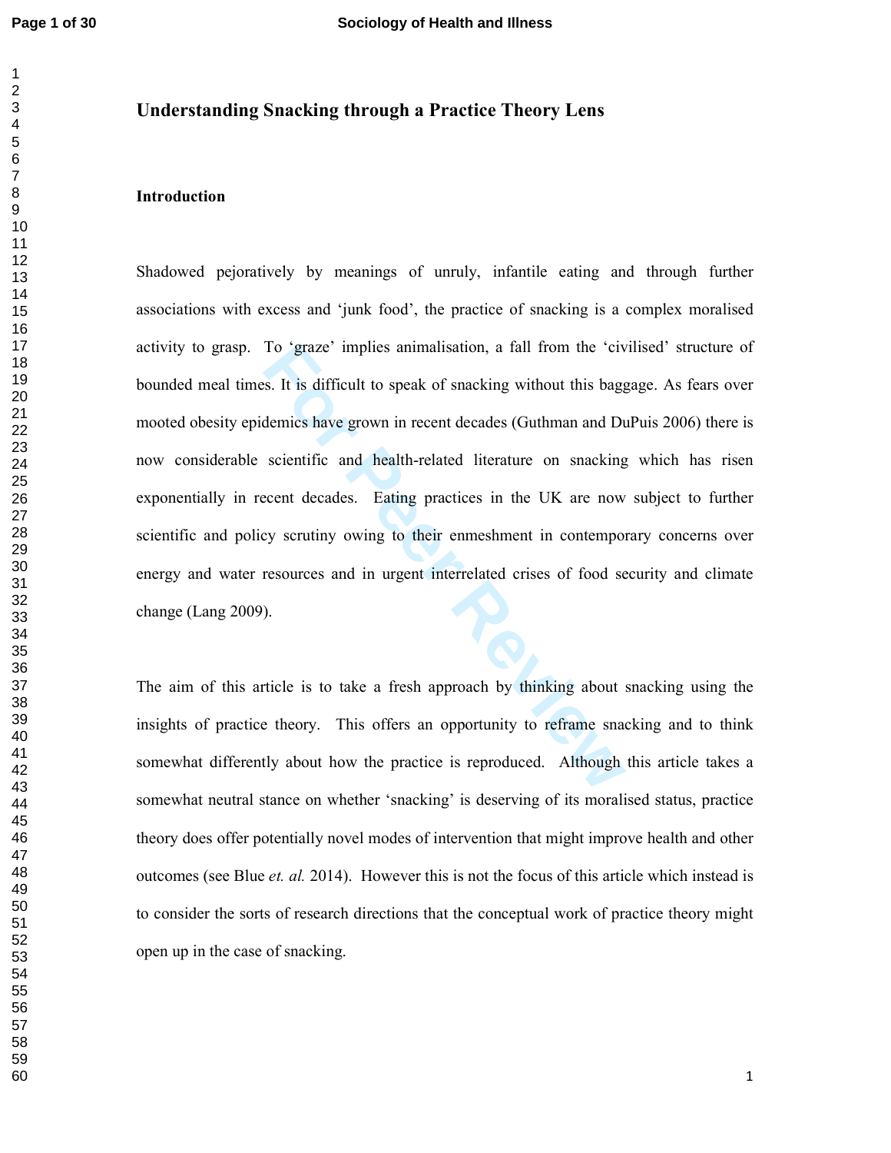# **Understanding Snacking through a Practice Theory Lens**

# **Introduction**

To 'graze' implies animalisation, a fall from the 'cives.<br>
It is difficult to speak of snacking without this bagg<br>
demics have grown in recent decades (Guthman and Du<br>
scientific and health-related literature on snacking<br> Shadowed pejoratively by meanings of unruly, infantile eating and through further associations with excess and 'junk food', the practice of snacking is a complex moralised activity to grasp. To 'graze' implies animalisation, a fall from the 'civilised' structure of bounded meal times. It is difficult to speak of snacking without this baggage. As fears over mooted obesity epidemics have grown in recent decades (Guthman and DuPuis 2006) there is now considerable scientific and health-related literature on snacking which has risen exponentially in recent decades. Eating practices in the UK are now subject to further scientific and policy scrutiny owing to their enmeshment in contemporary concerns over energy and water resources and in urgent interrelated crises of food security and climate change (Lang 2009).

The aim of this article is to take a fresh approach by thinking about snacking using the insights of practice theory. This offers an opportunity to reframe snacking and to think somewhat differently about how the practice is reproduced. Although this article takes a somewhat neutral stance on whether 'snacking' is deserving of its moralised status, practice theory does offer potentially novel modes of intervention that might improve health and other outcomes (see Blue *et. al.* 2014). However this is not the focus of this article which instead is to consider the sorts of research directions that the conceptual work of practice theory might open up in the case of snacking.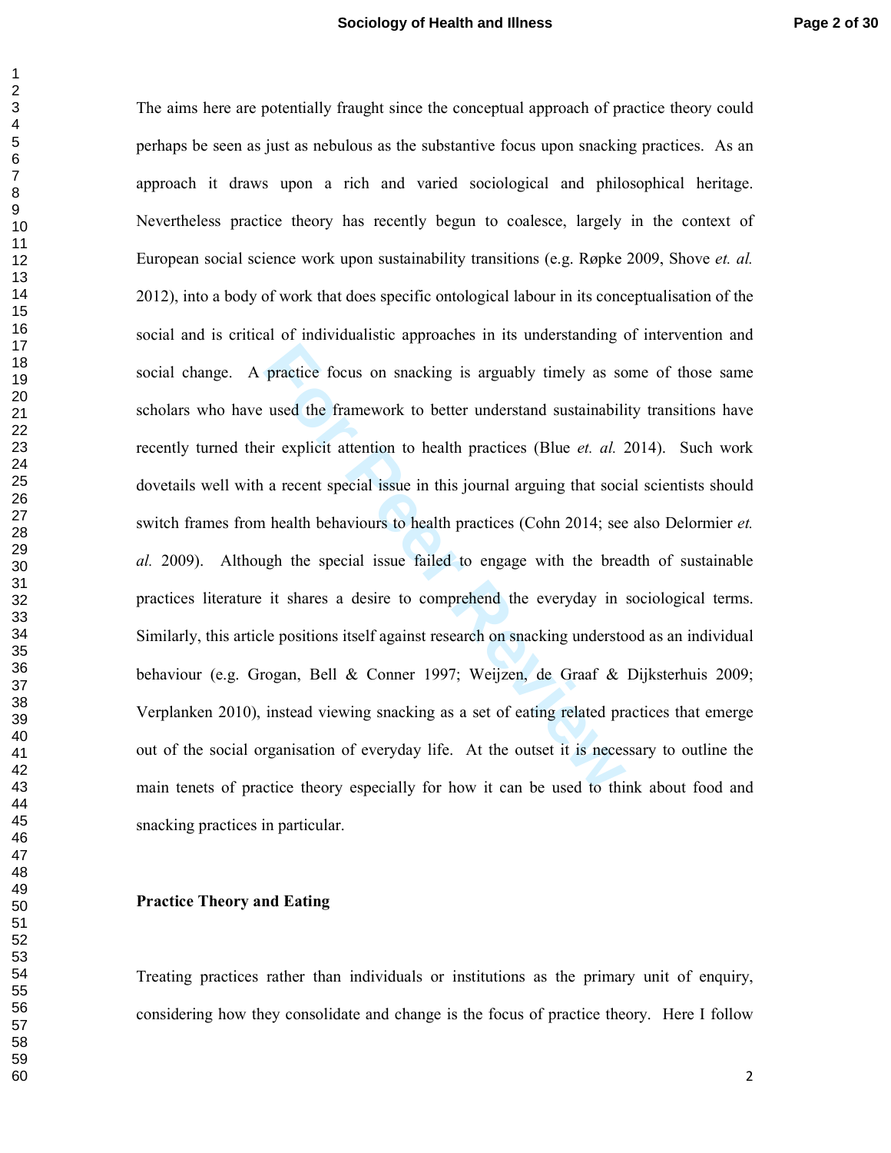practice focus on snacking is arguably timely as so<br>used the framework to better understand sustainabili<br>ir explicit attention to health practices (Blue *et. al. 2*<br>a recent special issue in this journal arguing that soci<br> The aims here are potentially fraught since the conceptual approach of practice theory could perhaps be seen as just as nebulous as the substantive focus upon snacking practices. As an approach it draws upon a rich and varied sociological and philosophical heritage. Nevertheless practice theory has recently begun to coalesce, largely in the context of European social science work upon sustainability transitions (e.g. Røpke 2009, Shove *et. al.* 2012), into a body of work that does specific ontological labour in its conceptualisation of the social and is critical of individualistic approaches in its understanding of intervention and social change. A practice focus on snacking is arguably timely as some of those same scholars who have used the framework to better understand sustainability transitions have recently turned their explicit attention to health practices (Blue *et. al.* 2014). Such work dovetails well with a recent special issue in this journal arguing that social scientists should switch frames from health behaviours to health practices (Cohn 2014; see also Delormier *et. al.* 2009). Although the special issue failed to engage with the breadth of sustainable practices literature it shares a desire to comprehend the everyday in sociological terms. Similarly, this article positions itself against research on snacking understood as an individual behaviour (e.g. Grogan, Bell & Conner 1997; Weijzen, de Graaf & Dijksterhuis 2009; Verplanken 2010), instead viewing snacking as a set of eating related practices that emerge out of the social organisation of everyday life. At the outset it is necessary to outline the main tenets of practice theory especially for how it can be used to think about food and snacking practices in particular.

#### **Practice Theory and Eating**

Treating practices rather than individuals or institutions as the primary unit of enquiry, considering how they consolidate and change is the focus of practice theory. Here I follow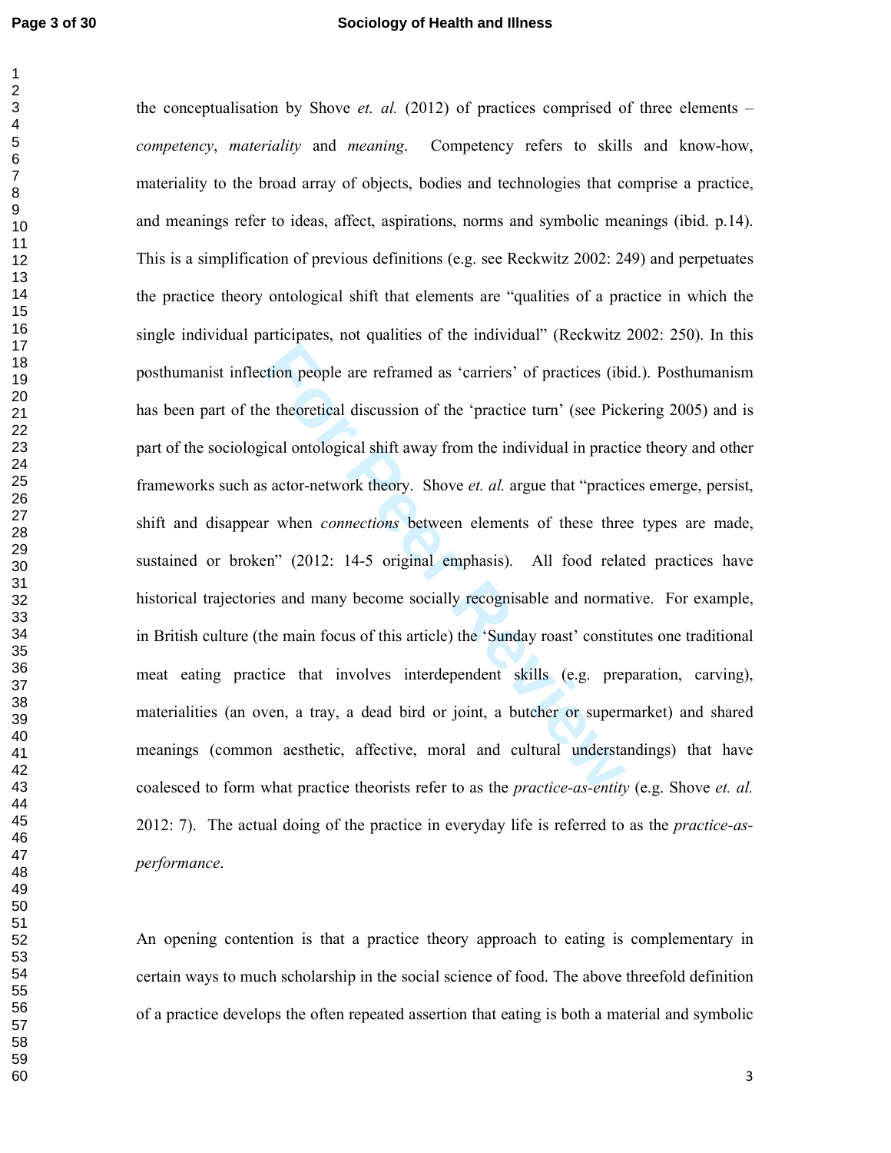#### **Page 3 of 30 Sociology of Health and Illness**

tion people are reframed as 'carriers' of practices (ibi<br>e theoretical discussion of the 'practice turn' (see Pick<br>ical ontological shift away from the individual in practi<br>s actor-network theory. Shove *et. al.* argue tha the conceptualisation by Shove *et. al.* (2012) of practices comprised of three elements – *competency*, *materiality* and *meaning*. Competency refers to skills and know-how, materiality to the broad array of objects, bodies and technologies that comprise a practice, and meanings refer to ideas, affect, aspirations, norms and symbolic meanings (ibid. p.14). This is a simplification of previous definitions (e.g. see Reckwitz 2002: 249) and perpetuates the practice theory ontological shift that elements are "qualities of a practice in which the single individual participates, not qualities of the individual" (Reckwitz 2002: 250). In this posthumanist inflection people are reframed as 'carriers' of practices (ibid.). Posthumanism has been part of the theoretical discussion of the 'practice turn' (see Pickering 2005) and is part of the sociological ontological shift away from the individual in practice theory and other frameworks such as actor-network theory. Shove *et. al.* argue that "practices emerge, persist, shift and disappear when *connections* between elements of these three types are made, sustained or broken" (2012: 14-5 original emphasis). All food related practices have historical trajectories and many become socially recognisable and normative. For example, in British culture (the main focus of this article) the 'Sunday roast' constitutes one traditional meat eating practice that involves interdependent skills (e.g. preparation, carving), materialities (an oven, a tray, a dead bird or joint, a butcher or supermarket) and shared meanings (common aesthetic, affective, moral and cultural understandings) that have coalesced to form what practice theorists refer to as the *practice-as-entity* (e.g. Shove *et. al.* 2012: 7). The actual doing of the practice in everyday life is referred to as the *practice-asperformance*.

An opening contention is that a practice theory approach to eating is complementary in certain ways to much scholarship in the social science of food. The above threefold definition of a practice develops the often repeated assertion that eating is both a material and symbolic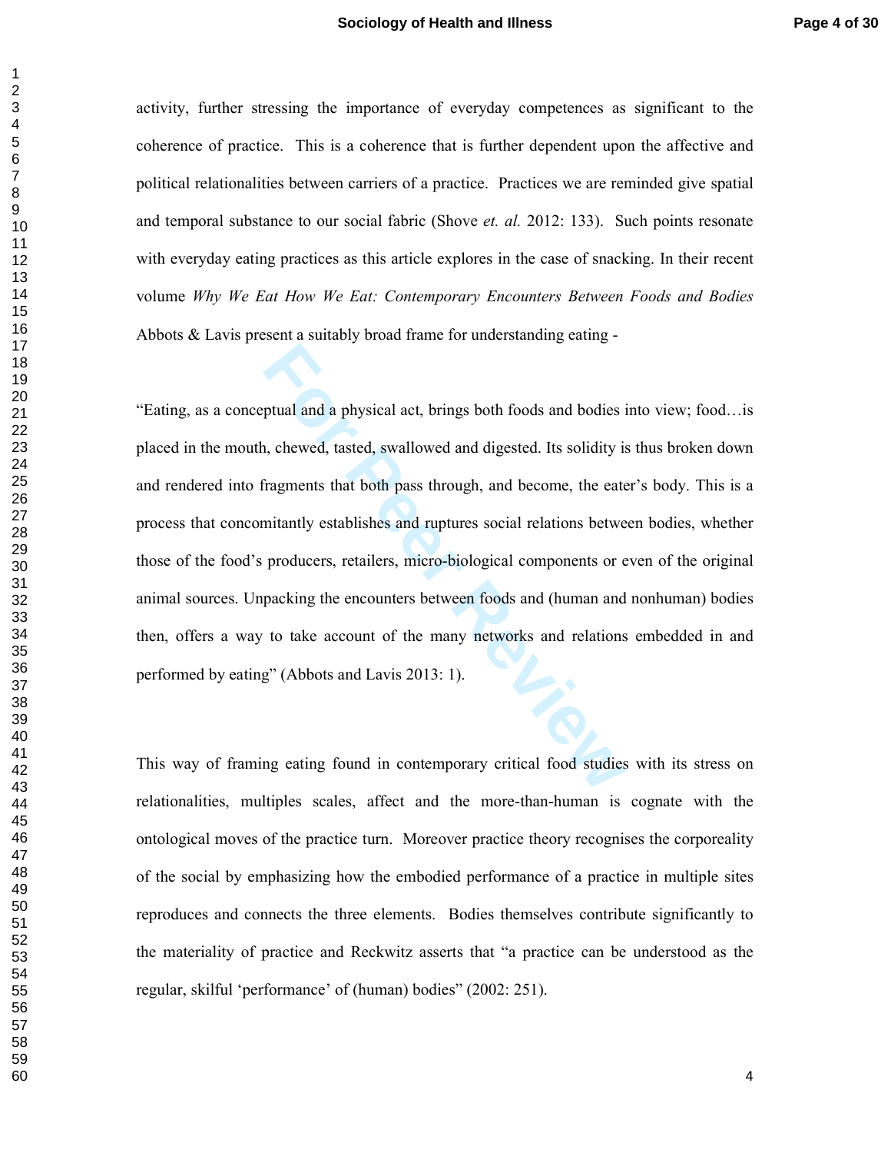activity, further stressing the importance of everyday competences as significant to the coherence of practice. This is a coherence that is further dependent upon the affective and political relationalities between carriers of a practice. Practices we are reminded give spatial and temporal substance to our social fabric (Shove *et. al.* 2012: 133). Such points resonate with everyday eating practices as this article explores in the case of snacking. In their recent volume *Why We Eat How We Eat: Contemporary Encounters Between Foods and Bodies* Abbots & Lavis present a suitably broad frame for understanding eating -

ptual and a physical act, brings both foods and bodies in the physical act, brings both foods and bodies in the charactery of the pass through, and become, the eaternitantly establishes and ruptures social relations betwee "Eating, as a conceptual and a physical act, brings both foods and bodies into view; food…is placed in the mouth, chewed, tasted, swallowed and digested. Its solidity is thus broken down and rendered into fragments that both pass through, and become, the eater's body. This is a process that concomitantly establishes and ruptures social relations between bodies, whether those of the food's producers, retailers, micro-biological components or even of the original animal sources. Unpacking the encounters between foods and (human and nonhuman) bodies then, offers a way to take account of the many networks and relations embedded in and performed by eating" (Abbots and Lavis 2013: 1).

This way of framing eating found in contemporary critical food studies with its stress on relationalities, multiples scales, affect and the more-than-human is cognate with the ontological moves of the practice turn. Moreover practice theory recognises the corporeality of the social by emphasizing how the embodied performance of a practice in multiple sites reproduces and connects the three elements. Bodies themselves contribute significantly to the materiality of practice and Reckwitz asserts that "a practice can be understood as the regular, skilful 'performance' of (human) bodies" (2002: 251).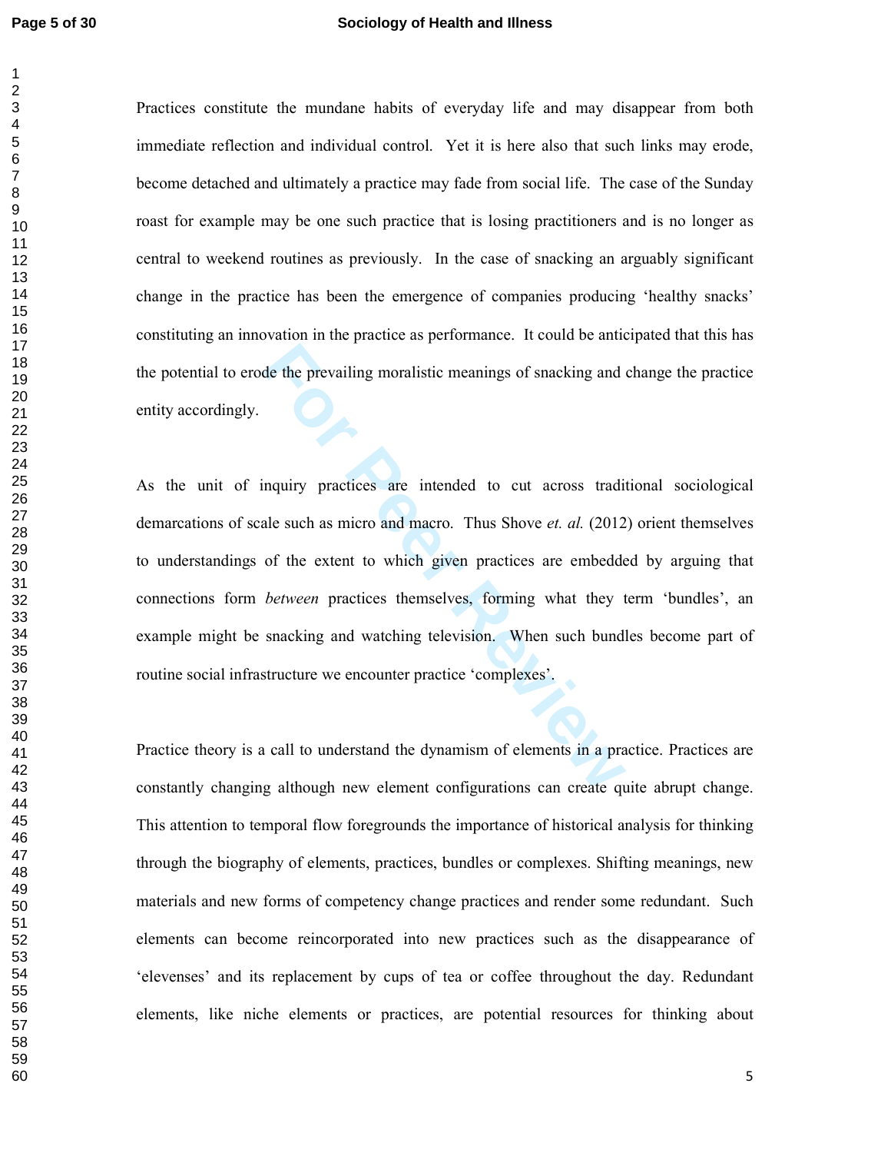#### **Page 5 of 30 Sociology of Health and Illness**

Practices constitute the mundane habits of everyday life and may disappear from both immediate reflection and individual control. Yet it is here also that such links may erode, become detached and ultimately a practice may fade from social life. The case of the Sunday roast for example may be one such practice that is losing practitioners and is no longer as central to weekend routines as previously. In the case of snacking an arguably significant change in the practice has been the emergence of companies producing 'healthy snacks' constituting an innovation in the practice as performance. It could be anticipated that this has the potential to erode the prevailing moralistic meanings of snacking and change the practice entity accordingly.

de the prevailing moralistic meanings of snacking and a<br>
nquiry practices are intended to cut across tradiale<br>
such as micro and macro. Thus Shove *et. al.* (2012<br>
of the extent to which given practices are embedde<br> *betwe* As the unit of inquiry practices are intended to cut across traditional sociological demarcations of scale such as micro and macro. Thus Shove *et. al.* (2012) orient themselves to understandings of the extent to which given practices are embedded by arguing that connections form *between* practices themselves, forming what they term 'bundles', an example might be snacking and watching television. When such bundles become part of routine social infrastructure we encounter practice 'complexes'.

Practice theory is a call to understand the dynamism of elements in a practice. Practices are constantly changing although new element configurations can create quite abrupt change. This attention to temporal flow foregrounds the importance of historical analysis for thinking through the biography of elements, practices, bundles or complexes. Shifting meanings, new materials and new forms of competency change practices and render some redundant. Such elements can become reincorporated into new practices such as the disappearance of 'elevenses' and its replacement by cups of tea or coffee throughout the day. Redundant elements, like niche elements or practices, are potential resources for thinking about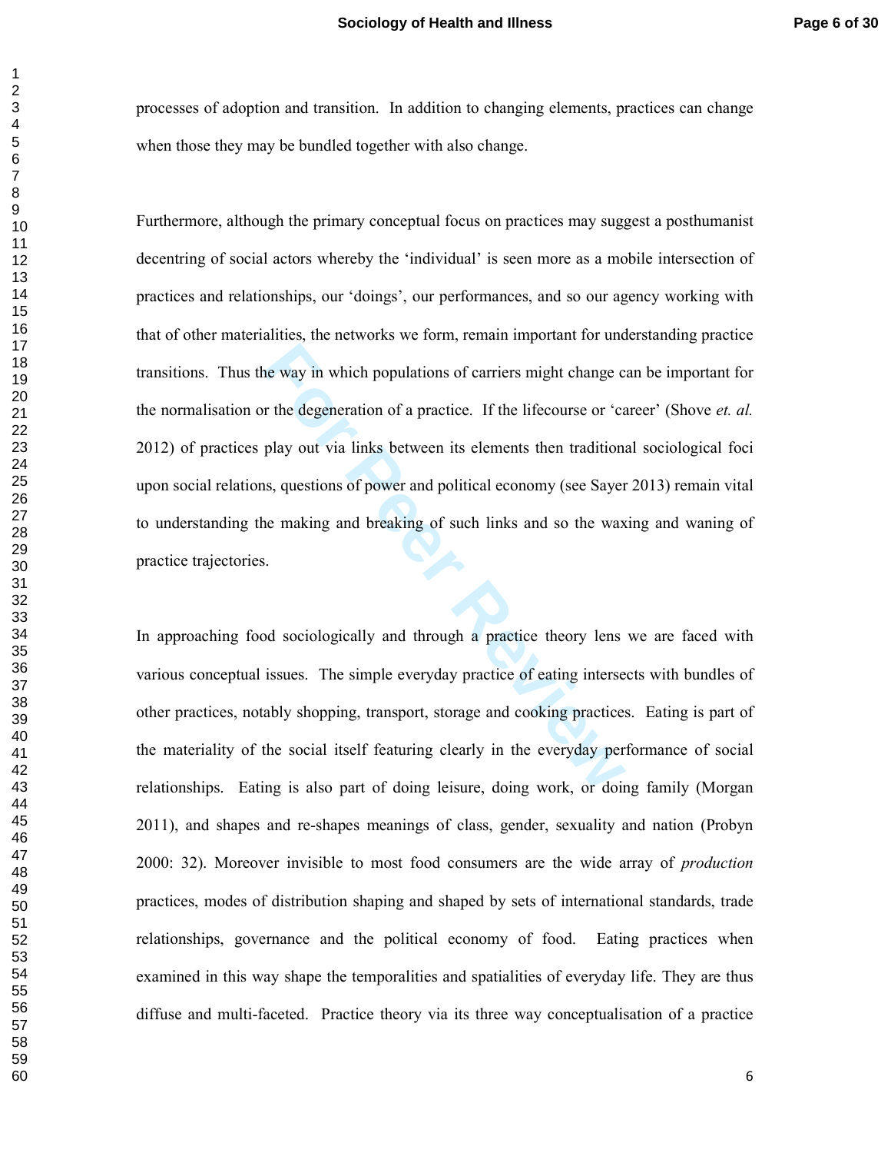processes of adoption and transition. In addition to changing elements, practices can change when those they may be bundled together with also change.

The way in which populations of carriers might change c<br> **For the degeneration of a practice.** If the lifecourse or 'ca<br>
play out via links between its elements then traditions<br>
is, questions of power and political economy Furthermore, although the primary conceptual focus on practices may suggest a posthumanist decentring of social actors whereby the 'individual' is seen more as a mobile intersection of practices and relationships, our 'doings', our performances, and so our agency working with that of other materialities, the networks we form, remain important for understanding practice transitions. Thus the way in which populations of carriers might change can be important for the normalisation or the degeneration of a practice. If the lifecourse or 'career' (Shove *et. al.* 2012) of practices play out via links between its elements then traditional sociological foci upon social relations, questions of power and political economy (see Sayer 2013) remain vital to understanding the making and breaking of such links and so the waxing and waning of practice trajectories.

In approaching food sociologically and through a practice theory lens we are faced with various conceptual issues. The simple everyday practice of eating intersects with bundles of other practices, notably shopping, transport, storage and cooking practices. Eating is part of the materiality of the social itself featuring clearly in the everyday performance of social relationships. Eating is also part of doing leisure, doing work, or doing family (Morgan 2011), and shapes and re-shapes meanings of class, gender, sexuality and nation (Probyn 2000: 32). Moreover invisible to most food consumers are the wide array of *production* practices, modes of distribution shaping and shaped by sets of international standards, trade relationships, governance and the political economy of food. Eating practices when examined in this way shape the temporalities and spatialities of everyday life. They are thus diffuse and multi-faceted. Practice theory via its three way conceptualisation of a practice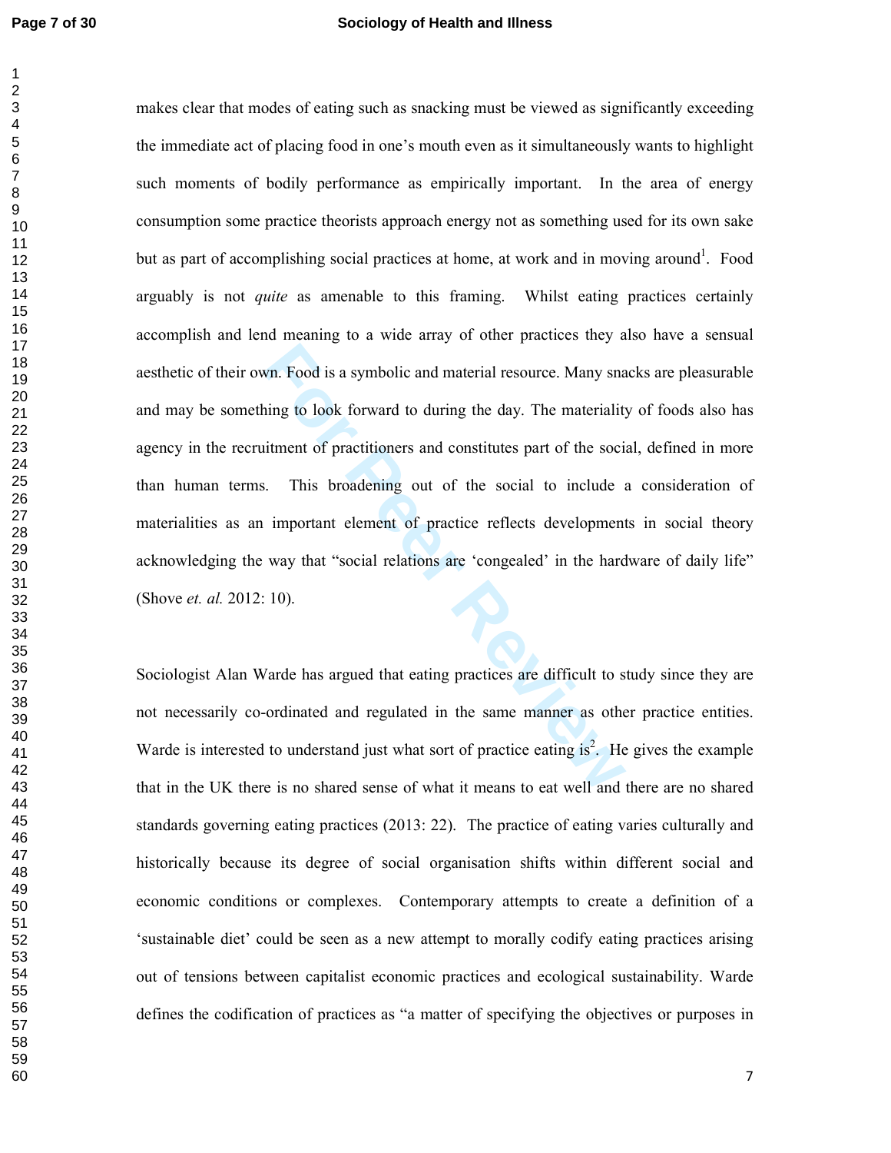## **Page 7 of 30 Sociology of Health and Illness**

For Prodisional material resource. Many snating to look forward to during the day. The materiality<br>iteration of practitioners and constitutes part of the social.<br>This broadening out of the social to include<br>important eleme makes clear that modes of eating such as snacking must be viewed as significantly exceeding the immediate act of placing food in one's mouth even as it simultaneously wants to highlight such moments of bodily performance as empirically important. In the area of energy consumption some practice theorists approach energy not as something used for its own sake but as part of accomplishing social practices at home, at work and in moving around<sup>1</sup>. Food arguably is not *quite* as amenable to this framing. Whilst eating practices certainly accomplish and lend meaning to a wide array of other practices they also have a sensual aesthetic of their own. Food is a symbolic and material resource. Many snacks are pleasurable and may be something to look forward to during the day. The materiality of foods also has agency in the recruitment of practitioners and constitutes part of the social, defined in more than human terms. This broadening out of the social to include a consideration of materialities as an important element of practice reflects developments in social theory acknowledging the way that "social relations are 'congealed' in the hardware of daily life" (Shove *et. al.* 2012: 10).

Sociologist Alan Warde has argued that eating practices are difficult to study since they are not necessarily co-ordinated and regulated in the same manner as other practice entities. Warde is interested to understand just what sort of practice eating is<sup>2</sup>. He gives the example that in the UK there is no shared sense of what it means to eat well and there are no shared standards governing eating practices (2013: 22). The practice of eating varies culturally and historically because its degree of social organisation shifts within different social and economic conditions or complexes. Contemporary attempts to create a definition of a 'sustainable diet' could be seen as a new attempt to morally codify eating practices arising out of tensions between capitalist economic practices and ecological sustainability. Warde defines the codification of practices as "a matter of specifying the objectives or purposes in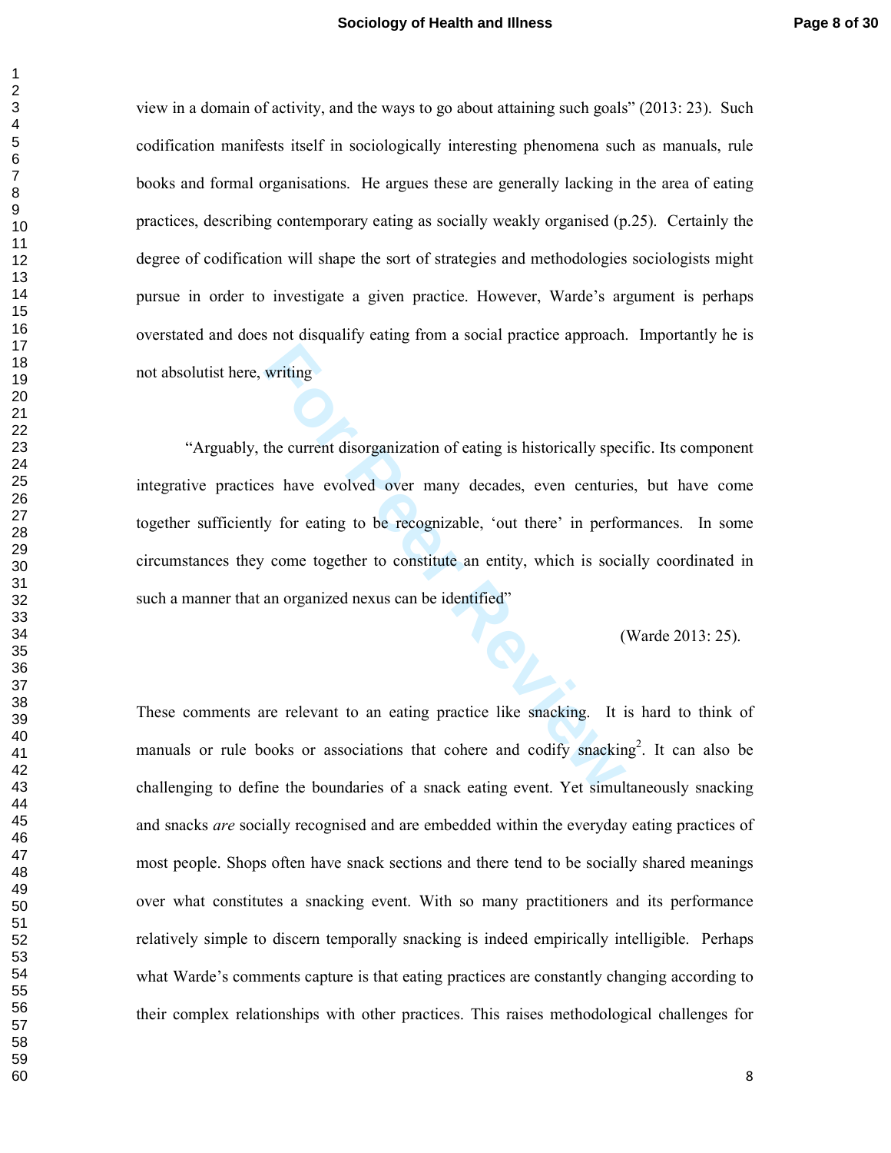view in a domain of activity, and the ways to go about attaining such goals" (2013: 23). Such codification manifests itself in sociologically interesting phenomena such as manuals, rule books and formal organisations. He argues these are generally lacking in the area of eating practices, describing contemporary eating as socially weakly organised (p.25). Certainly the degree of codification will shape the sort of strategies and methodologies sociologists might pursue in order to investigate a given practice. However, Warde's argument is perhaps overstated and does not disqualify eating from a social practice approach. Importantly he is not absolutist here, writing

writing<br>the current disorganization of eating is historically spec<br>es have evolved over many decades, even centurie<br>y for eating to be recognizable, 'out there' in perfor<br>come together to constitute an entity, which is soc "Arguably, the current disorganization of eating is historically specific. Its component integrative practices have evolved over many decades, even centuries, but have come together sufficiently for eating to be recognizable, 'out there' in performances. In some circumstances they come together to constitute an entity, which is socially coordinated in such a manner that an organized nexus can be identified"

(Warde 2013: 25).

These comments are relevant to an eating practice like snacking. It is hard to think of manuals or rule books or associations that cohere and codify snacking<sup>2</sup>. It can also be challenging to define the boundaries of a snack eating event. Yet simultaneously snacking and snacks *are* socially recognised and are embedded within the everyday eating practices of most people. Shops often have snack sections and there tend to be socially shared meanings over what constitutes a snacking event. With so many practitioners and its performance relatively simple to discern temporally snacking is indeed empirically intelligible. Perhaps what Warde's comments capture is that eating practices are constantly changing according to their complex relationships with other practices. This raises methodological challenges for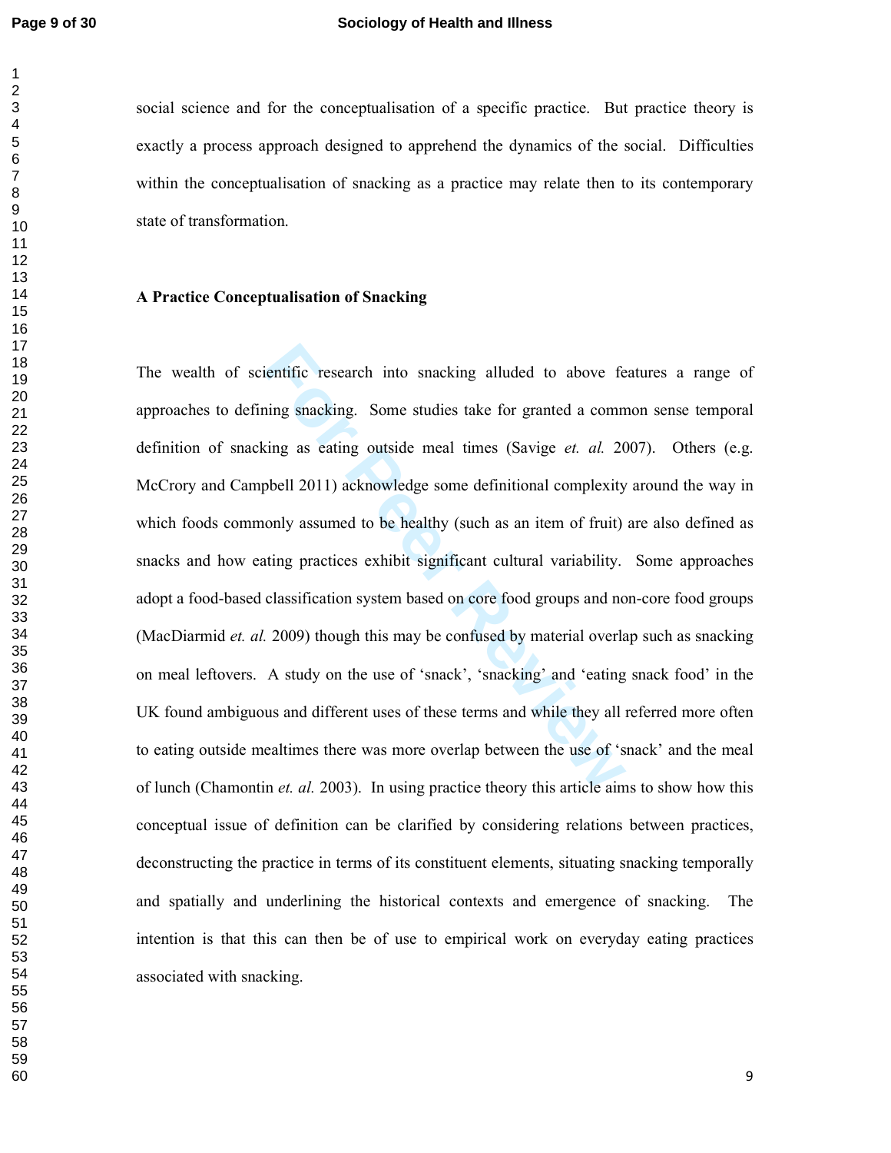social science and for the conceptualisation of a specific practice. But practice theory is exactly a process approach designed to apprehend the dynamics of the social. Difficulties within the conceptualisation of snacking as a practice may relate then to its contemporary state of transformation.

#### **A Practice Conceptualisation of Snacking**

ientific research into snacking alluded to above fe<br>ning snacking. Some studies take for granted a comn<br>sing as eating outside meal times (Savige *et. al.* 20<br>pbell 2011) acknowledge some definitional complexity<br>only assum The wealth of scientific research into snacking alluded to above features a range of approaches to defining snacking. Some studies take for granted a common sense temporal definition of snacking as eating outside meal times (Savige *et. al.* 2007). Others (e.g. McCrory and Campbell 2011) acknowledge some definitional complexity around the way in which foods commonly assumed to be healthy (such as an item of fruit) are also defined as snacks and how eating practices exhibit significant cultural variability. Some approaches adopt a food-based classification system based on core food groups and non-core food groups (MacDiarmid *et. al.* 2009) though this may be confused by material overlap such as snacking on meal leftovers. A study on the use of 'snack', 'snacking' and 'eating snack food' in the UK found ambiguous and different uses of these terms and while they all referred more often to eating outside mealtimes there was more overlap between the use of 'snack' and the meal of lunch (Chamontin *et. al.* 2003). In using practice theory this article aims to show how this conceptual issue of definition can be clarified by considering relations between practices, deconstructing the practice in terms of its constituent elements, situating snacking temporally and spatially and underlining the historical contexts and emergence of snacking. The intention is that this can then be of use to empirical work on everyday eating practices associated with snacking.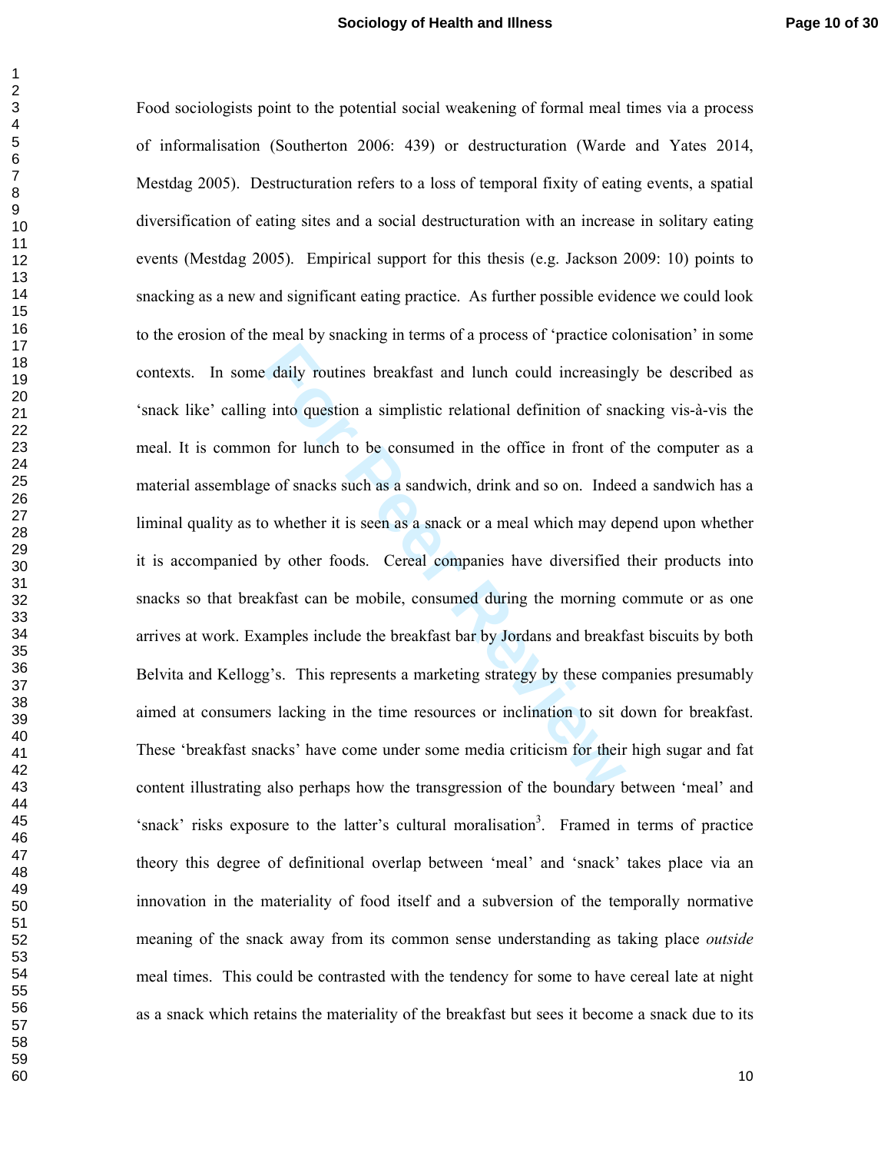daily routines breakfast and lunch could increasing<br> **For the Allen Constant Constant Constant Constant Constant Constant Constant Constant Constant Constant Constant Constant Constant Constant Constant Constant Constant C** Food sociologists point to the potential social weakening of formal meal times via a process of informalisation (Southerton 2006: 439) or destructuration (Warde and Yates 2014, Mestdag 2005). Destructuration refers to a loss of temporal fixity of eating events, a spatial diversification of eating sites and a social destructuration with an increase in solitary eating events (Mestdag 2005). Empirical support for this thesis (e.g. Jackson 2009: 10) points to snacking as a new and significant eating practice. As further possible evidence we could look to the erosion of the meal by snacking in terms of a process of 'practice colonisation' in some contexts. In some daily routines breakfast and lunch could increasingly be described as 'snack like' calling into question a simplistic relational definition of snacking vis-à-vis the meal. It is common for lunch to be consumed in the office in front of the computer as a material assemblage of snacks such as a sandwich, drink and so on. Indeed a sandwich has a liminal quality as to whether it is seen as a snack or a meal which may depend upon whether it is accompanied by other foods. Cereal companies have diversified their products into snacks so that breakfast can be mobile, consumed during the morning commute or as one arrives at work. Examples include the breakfast bar by Jordans and breakfast biscuits by both Belvita and Kellogg's. This represents a marketing strategy by these companies presumably aimed at consumers lacking in the time resources or inclination to sit down for breakfast. These 'breakfast snacks' have come under some media criticism for their high sugar and fat content illustrating also perhaps how the transgression of the boundary between 'meal' and 'snack' risks exposure to the latter's cultural moralisation<sup>3</sup>. Framed in terms of practice theory this degree of definitional overlap between 'meal' and 'snack' takes place via an innovation in the materiality of food itself and a subversion of the temporally normative meaning of the snack away from its common sense understanding as taking place *outside* meal times. This could be contrasted with the tendency for some to have cereal late at night as a snack which retains the materiality of the breakfast but sees it become a snack due to its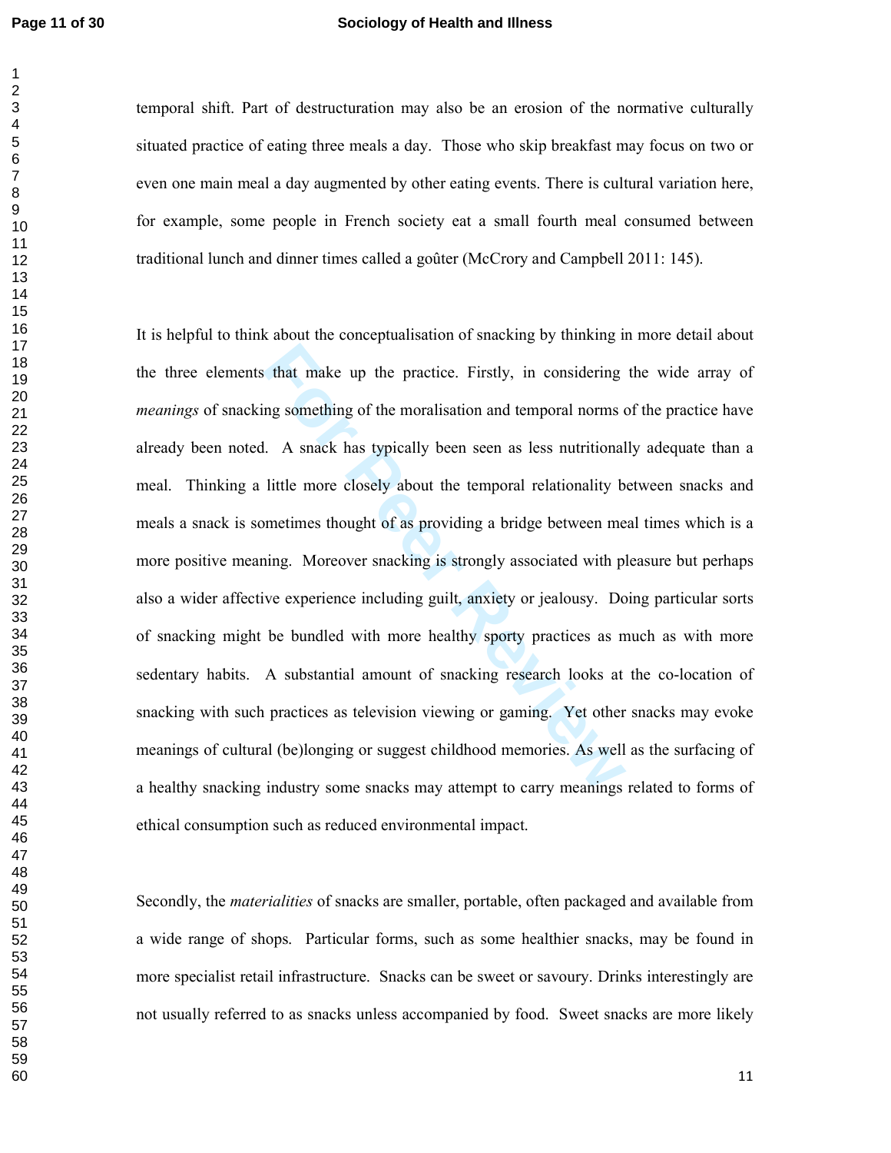#### **Page 11 of 30 Sociology of Health and Illness**

temporal shift. Part of destructuration may also be an erosion of the normative culturally situated practice of eating three meals a day. Those who skip breakfast may focus on two or even one main meal a day augmented by other eating events. There is cultural variation here, for example, some people in French society eat a small fourth meal consumed between traditional lunch and dinner times called a goûter (McCrory and Campbell 2011: 145).

that make up the practice. Firstly, in considering<br>in a something of the moralisation and temporal norms of<br>i. A snack has typically been seen as less nutritional<br>little more closely about the temporal relationality b<br>meti It is helpful to think about the conceptualisation of snacking by thinking in more detail about the three elements that make up the practice. Firstly, in considering the wide array of *meanings* of snacking something of the moralisation and temporal norms of the practice have already been noted. A snack has typically been seen as less nutritionally adequate than a meal. Thinking a little more closely about the temporal relationality between snacks and meals a snack is sometimes thought of as providing a bridge between meal times which is a more positive meaning. Moreover snacking is strongly associated with pleasure but perhaps also a wider affective experience including guilt, anxiety or jealousy. Doing particular sorts of snacking might be bundled with more healthy sporty practices as much as with more sedentary habits. A substantial amount of snacking research looks at the co-location of snacking with such practices as television viewing or gaming. Yet other snacks may evoke meanings of cultural (be)longing or suggest childhood memories. As well as the surfacing of a healthy snacking industry some snacks may attempt to carry meanings related to forms of ethical consumption such as reduced environmental impact.

Secondly, the *materialities* of snacks are smaller, portable, often packaged and available from a wide range of shops. Particular forms, such as some healthier snacks, may be found in more specialist retail infrastructure. Snacks can be sweet or savoury. Drinks interestingly are not usually referred to as snacks unless accompanied by food. Sweet snacks are more likely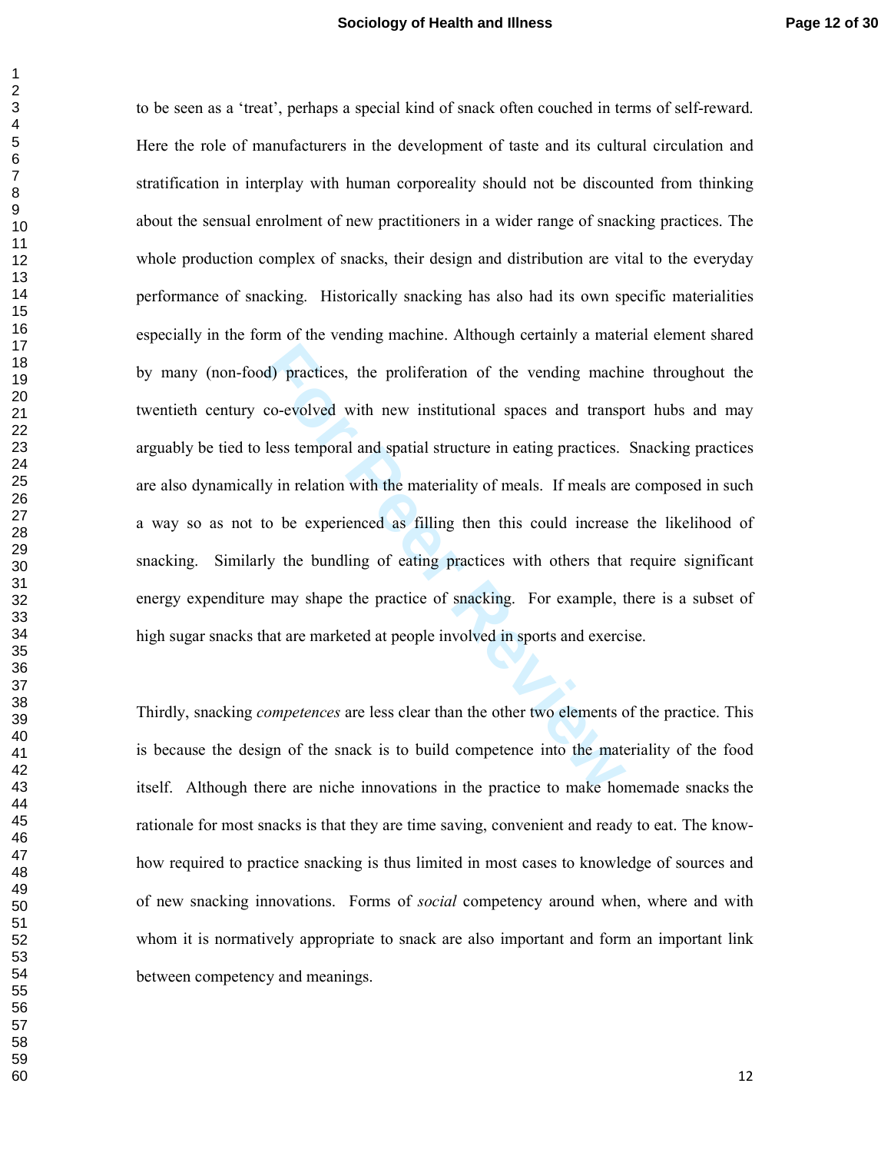d) practices, the proliferation of the vending machico-evolved with new institutional spaces and transp<br>less temporal and spatial structure in eating practices.<br>y in relation with the materiality of meals. If meals are<br>to to be seen as a 'treat', perhaps a special kind of snack often couched in terms of self-reward. Here the role of manufacturers in the development of taste and its cultural circulation and stratification in interplay with human corporeality should not be discounted from thinking about the sensual enrolment of new practitioners in a wider range of snacking practices. The whole production complex of snacks, their design and distribution are vital to the everyday performance of snacking. Historically snacking has also had its own specific materialities especially in the form of the vending machine. Although certainly a material element shared by many (non-food) practices, the proliferation of the vending machine throughout the twentieth century co-evolved with new institutional spaces and transport hubs and may arguably be tied to less temporal and spatial structure in eating practices. Snacking practices are also dynamically in relation with the materiality of meals. If meals are composed in such a way so as not to be experienced as filling then this could increase the likelihood of snacking. Similarly the bundling of eating practices with others that require significant energy expenditure may shape the practice of snacking. For example, there is a subset of high sugar snacks that are marketed at people involved in sports and exercise.

Thirdly, snacking *competences* are less clear than the other two elements of the practice. This is because the design of the snack is to build competence into the materiality of the food itself. Although there are niche innovations in the practice to make homemade snacks the rationale for most snacks is that they are time saving, convenient and ready to eat. The knowhow required to practice snacking is thus limited in most cases to knowledge of sources and of new snacking innovations. Forms of *social* competency around when, where and with whom it is normatively appropriate to snack are also important and form an important link between competency and meanings.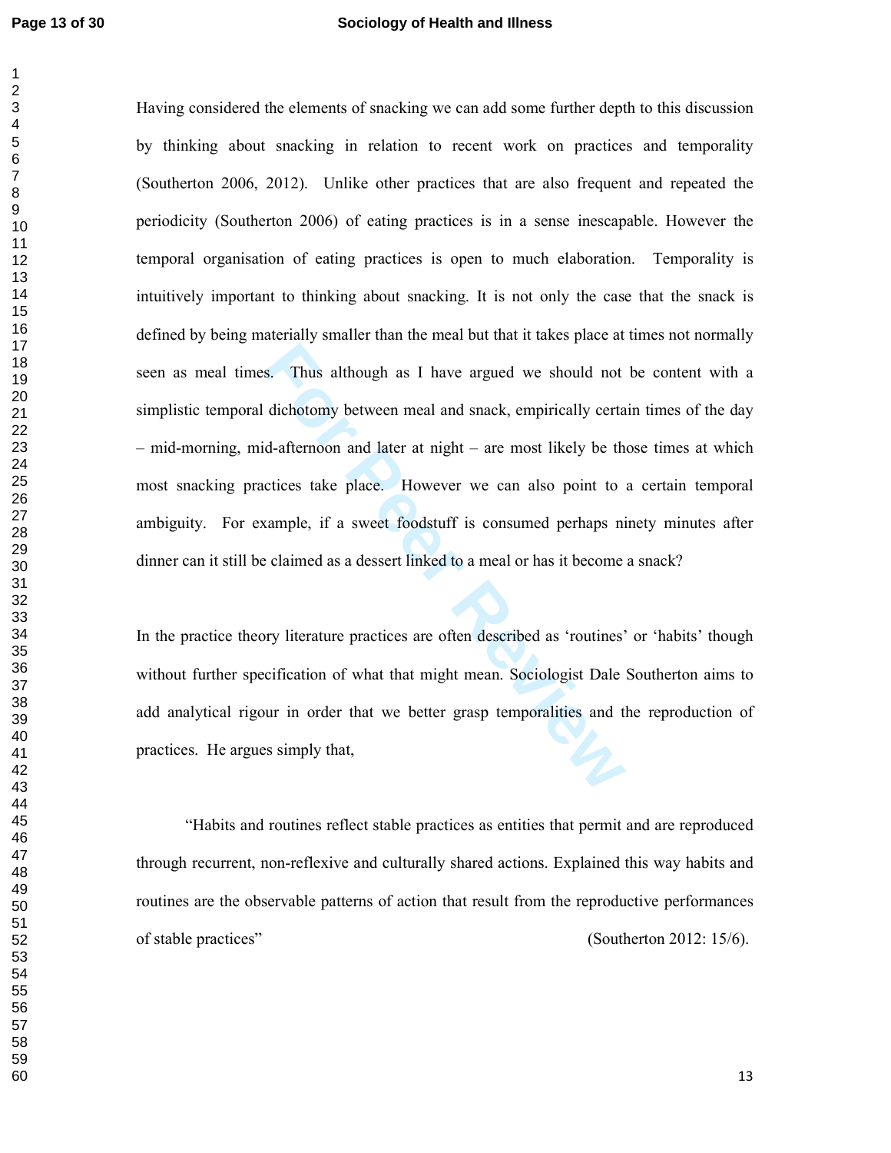#### **Page 13 of 30 Sociology of Health and Illness**

**Following Solution** as I have argued we should not dichotomy between meal and snack, empirically certa d-afternoon and later at night – are most likely be the citices take place. However we can also point to cample, if a Having considered the elements of snacking we can add some further depth to this discussion by thinking about snacking in relation to recent work on practices and temporality (Southerton 2006, 2012). Unlike other practices that are also frequent and repeated the periodicity (Southerton 2006) of eating practices is in a sense inescapable. However the temporal organisation of eating practices is open to much elaboration. Temporality is intuitively important to thinking about snacking. It is not only the case that the snack is defined by being materially smaller than the meal but that it takes place at times not normally seen as meal times. Thus although as I have argued we should not be content with a simplistic temporal dichotomy between meal and snack, empirically certain times of the day – mid-morning, mid-afternoon and later at night – are most likely be those times at which most snacking practices take place. However we can also point to a certain temporal ambiguity. For example, if a sweet foodstuff is consumed perhaps ninety minutes after dinner can it still be claimed as a dessert linked to a meal or has it become a snack?

In the practice theory literature practices are often described as 'routines' or 'habits' though without further specification of what that might mean. Sociologist Dale Southerton aims to add analytical rigour in order that we better grasp temporalities and the reproduction of practices. He argues simply that,

"Habits and routines reflect stable practices as entities that permit and are reproduced through recurrent, non-reflexive and culturally shared actions. Explained this way habits and routines are the observable patterns of action that result from the reproductive performances of stable practices" (Southerton 2012: 15/6).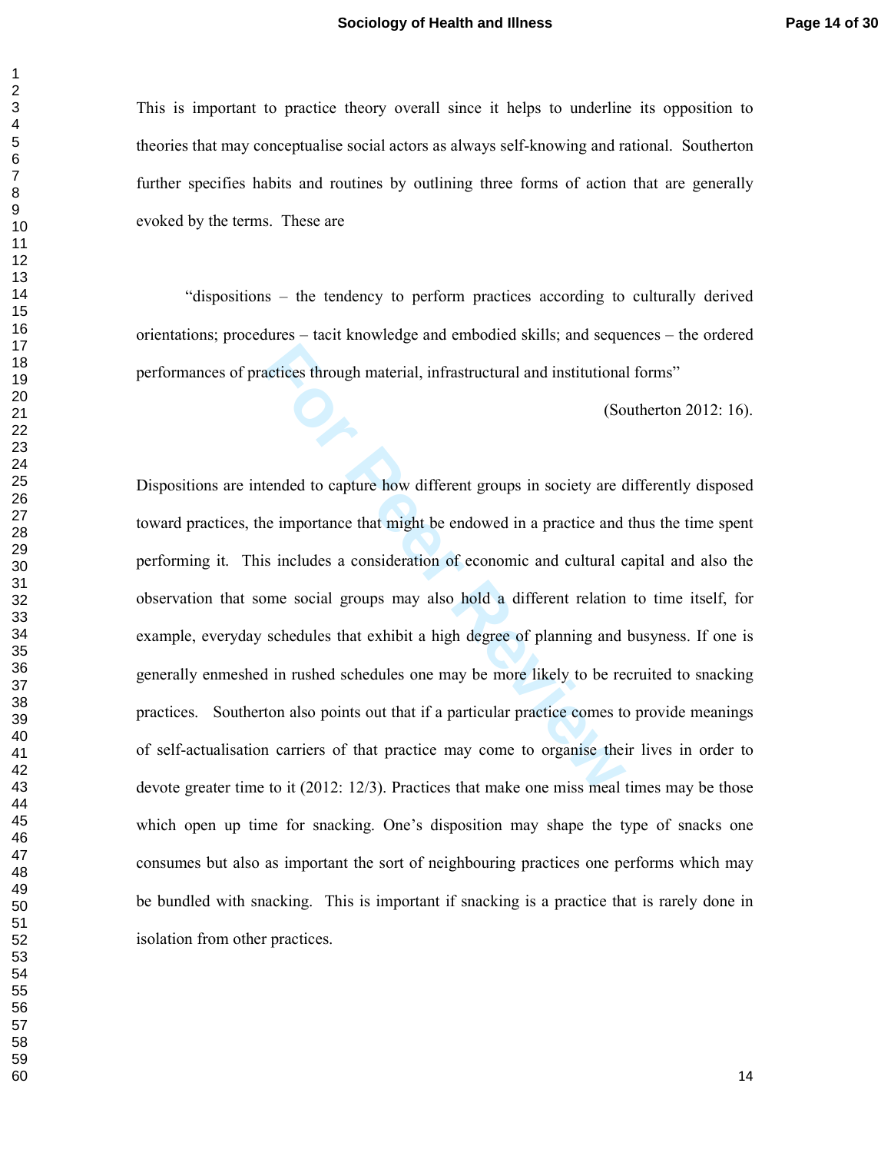This is important to practice theory overall since it helps to underline its opposition to theories that may conceptualise social actors as always self-knowing and rational. Southerton further specifies habits and routines by outlining three forms of action that are generally evoked by the terms. These are

"dispositions – the tendency to perform practices according to culturally derived orientations; procedures – tacit knowledge and embodied skills; and sequences – the ordered performances of practices through material, infrastructural and institutional forms"

(Southerton 2012: 16).

Exercices through material, infrastructural and institutiona<br>
(So<br>
feeded to capture how different groups in society are comportance that might be endowed in a practice and<br>
in includes a consideration of economic and cult Dispositions are intended to capture how different groups in society are differently disposed toward practices, the importance that might be endowed in a practice and thus the time spent performing it. This includes a consideration of economic and cultural capital and also the observation that some social groups may also hold a different relation to time itself, for example, everyday schedules that exhibit a high degree of planning and busyness. If one is generally enmeshed in rushed schedules one may be more likely to be recruited to snacking practices. Southerton also points out that if a particular practice comes to provide meanings of self-actualisation carriers of that practice may come to organise their lives in order to devote greater time to it (2012: 12/3). Practices that make one miss meal times may be those which open up time for snacking. One's disposition may shape the type of snacks one consumes but also as important the sort of neighbouring practices one performs which may be bundled with snacking. This is important if snacking is a practice that is rarely done in isolation from other practices.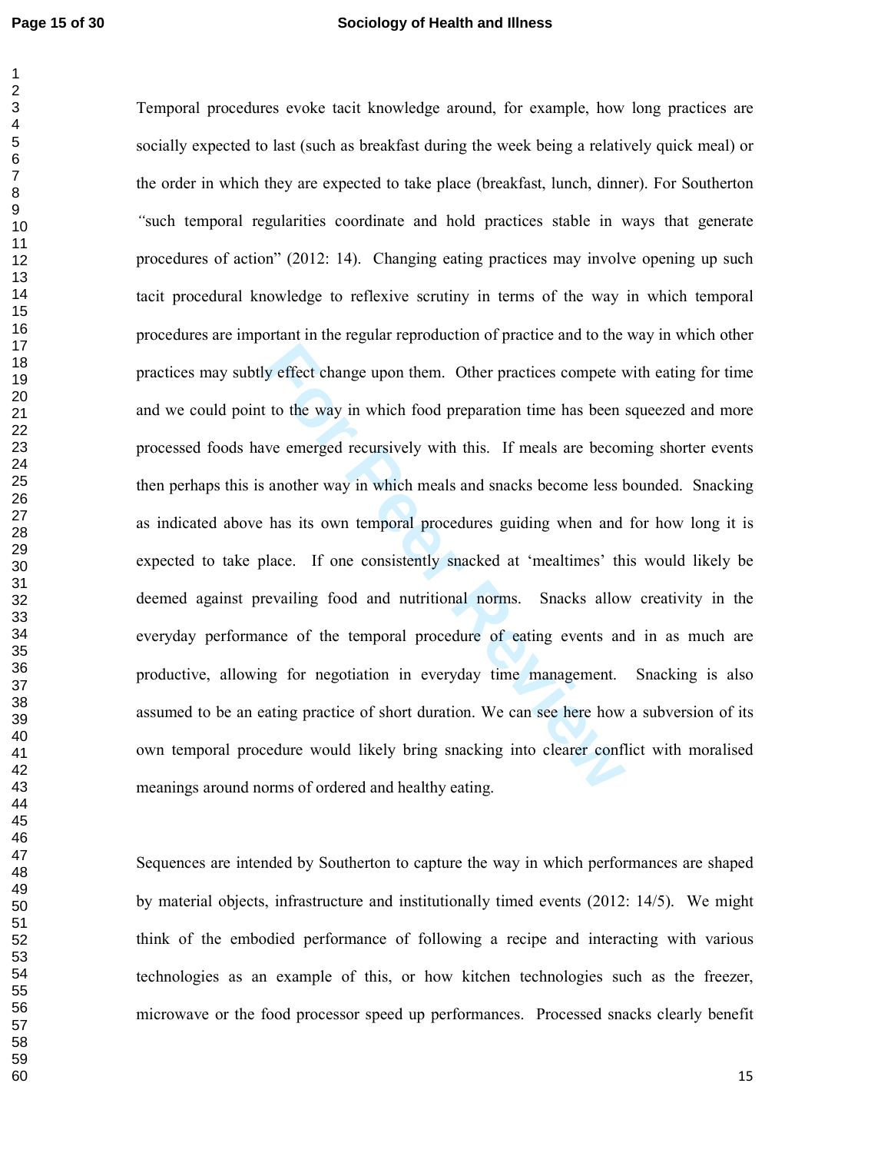#### **Page 15 of 30 Sociology of Health and Illness**

y effect change upon them. Other practices compete v<br>t to the way in which food preparation time has been s<br>we emerged recursively with this. If meals are becon<br>another way in which meals and snacks become less b<br>has its o Temporal procedures evoke tacit knowledge around, for example, how long practices are socially expected to last (such as breakfast during the week being a relatively quick meal) or the order in which they are expected to take place (breakfast, lunch, dinner). For Southerton *"*such temporal regularities coordinate and hold practices stable in ways that generate procedures of action" (2012: 14). Changing eating practices may involve opening up such tacit procedural knowledge to reflexive scrutiny in terms of the way in which temporal procedures are important in the regular reproduction of practice and to the way in which other practices may subtly effect change upon them. Other practices compete with eating for time and we could point to the way in which food preparation time has been squeezed and more processed foods have emerged recursively with this. If meals are becoming shorter events then perhaps this is another way in which meals and snacks become less bounded. Snacking as indicated above has its own temporal procedures guiding when and for how long it is expected to take place. If one consistently snacked at 'mealtimes' this would likely be deemed against prevailing food and nutritional norms. Snacks allow creativity in the everyday performance of the temporal procedure of eating events and in as much are productive, allowing for negotiation in everyday time management. Snacking is also assumed to be an eating practice of short duration. We can see here how a subversion of its own temporal procedure would likely bring snacking into clearer conflict with moralised meanings around norms of ordered and healthy eating.

Sequences are intended by Southerton to capture the way in which performances are shaped by material objects, infrastructure and institutionally timed events (2012: 14/5). We might think of the embodied performance of following a recipe and interacting with various technologies as an example of this, or how kitchen technologies such as the freezer, microwave or the food processor speed up performances. Processed snacks clearly benefit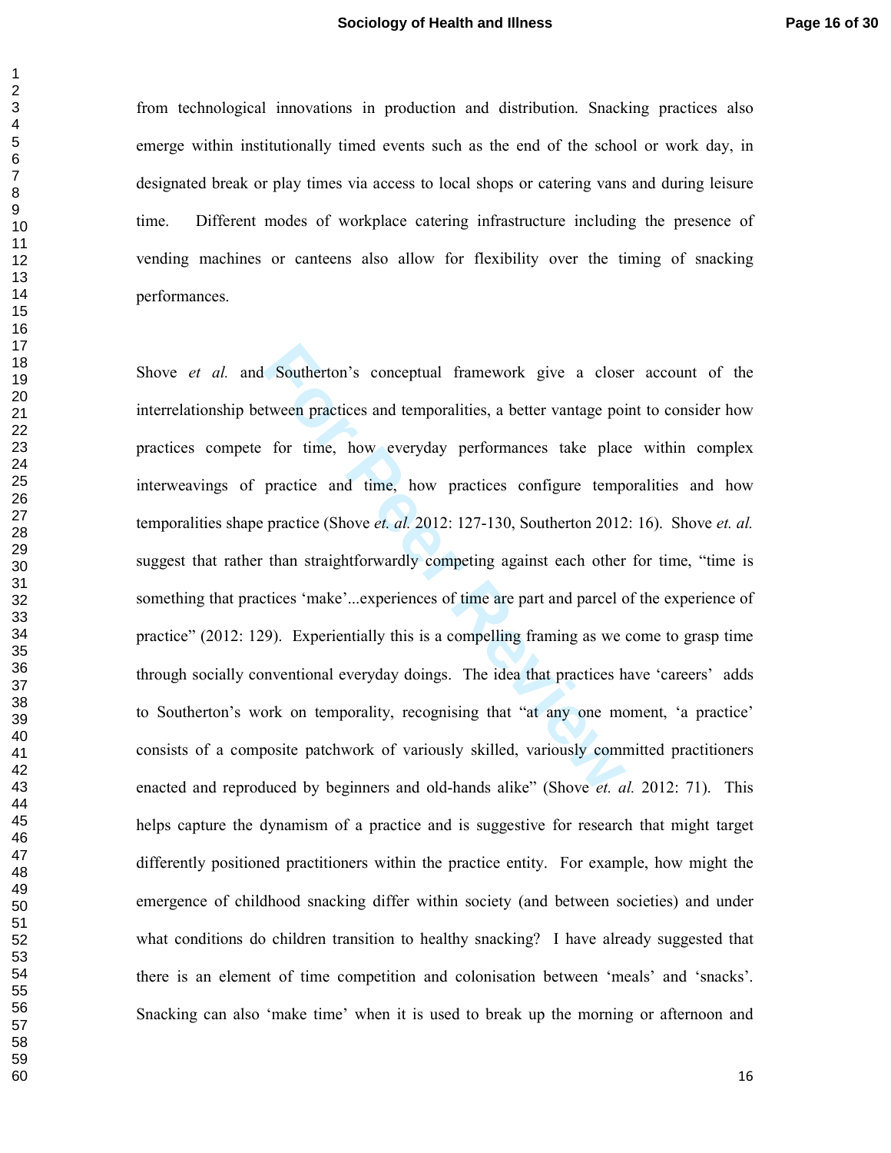from technological innovations in production and distribution. Snacking practices also emerge within institutionally timed events such as the end of the school or work day, in designated break or play times via access to local shops or catering vans and during leisure time. Different modes of workplace catering infrastructure including the presence of vending machines or canteens also allow for flexibility over the timing of snacking performances.

**Fourier Southerton's** conceptual framework give a close<br>tween practices and temporalities, a better vantage poi<br>for time, how everyday performances take place<br>practice and time, how practices configure temp<br>practice (Shov Shove *et al.* and Southerton's conceptual framework give a closer account of the interrelationship between practices and temporalities, a better vantage point to consider how practices compete for time, how everyday performances take place within complex interweavings of practice and time, how practices configure temporalities and how temporalities shape practice (Shove *et. al.* 2012: 127-130, Southerton 2012: 16). Shove *et. al.* suggest that rather than straightforwardly competing against each other for time, "time is something that practices 'make'...experiences of time are part and parcel of the experience of practice" (2012: 129). Experientially this is a compelling framing as we come to grasp time through socially conventional everyday doings. The idea that practices have 'careers' adds to Southerton's work on temporality, recognising that "at any one moment, 'a practice' consists of a composite patchwork of variously skilled, variously committed practitioners enacted and reproduced by beginners and old-hands alike" (Shove *et. al.* 2012: 71). This helps capture the dynamism of a practice and is suggestive for research that might target differently positioned practitioners within the practice entity. For example, how might the emergence of childhood snacking differ within society (and between societies) and under what conditions do children transition to healthy snacking? I have already suggested that there is an element of time competition and colonisation between 'meals' and 'snacks'. Snacking can also 'make time' when it is used to break up the morning or afternoon and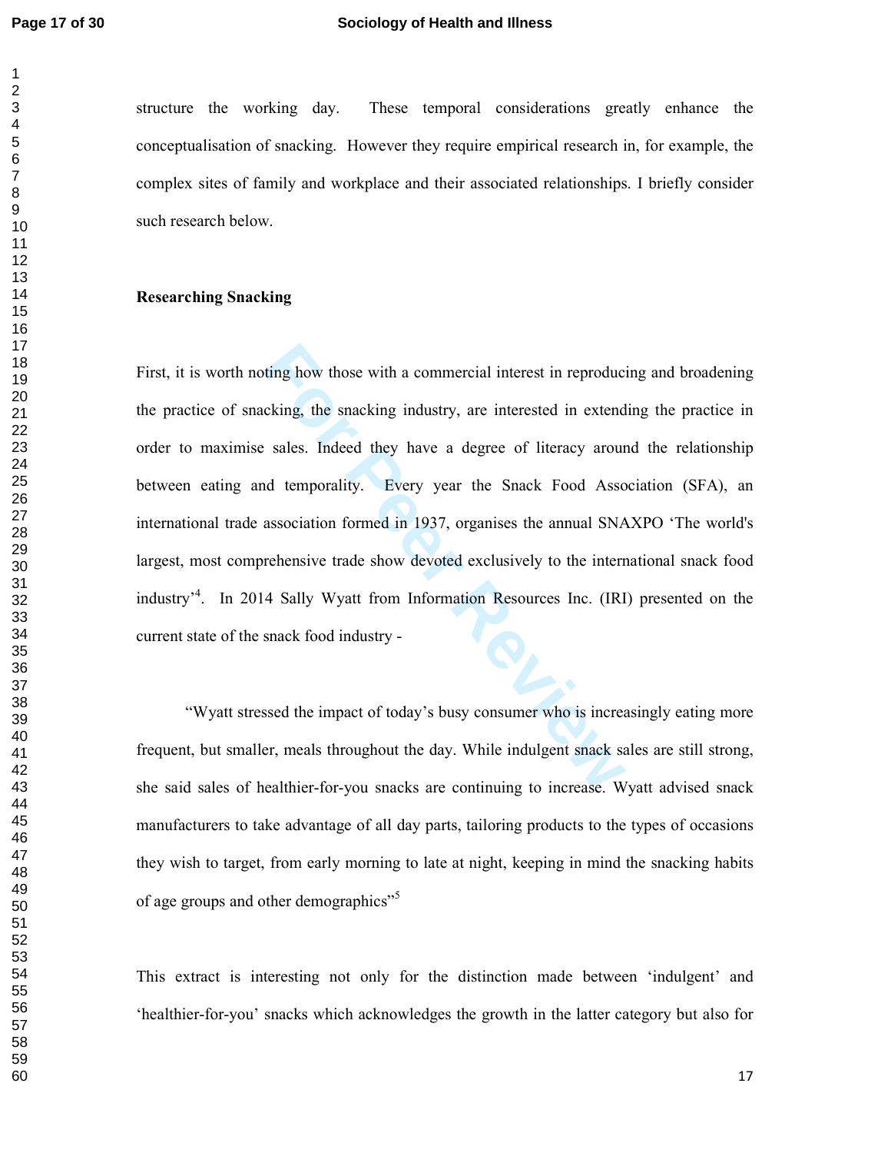#### **Page 17 of 30 Sociology of Health and Illness**

structure the working day. These temporal considerations greatly enhance the conceptualisation of snacking. However they require empirical research in, for example, the complex sites of family and workplace and their associated relationships. I briefly consider such research below.

#### **Researching Snacking**

ting how those with a commercial interest in reproductions, the snacking industry, are interested in extend<br>
For Peer Review of Sales. Indeed they have a degree of literacy around<br>
Independently. Every year the Snack Food First, it is worth noting how those with a commercial interest in reproducing and broadening the practice of snacking, the snacking industry, are interested in extending the practice in order to maximise sales. Indeed they have a degree of literacy around the relationship between eating and temporality. Every year the Snack Food Association (SFA), an international trade association formed in 1937, organises the annual SNAXPO 'The world's largest, most comprehensive trade show devoted exclusively to the international snack food industry<sup>34</sup>. In 2014 Sally Wyatt from Information Resources Inc. (IRI) presented on the current state of the snack food industry -

"Wyatt stressed the impact of today's busy consumer who is increasingly eating more frequent, but smaller, meals throughout the day. While indulgent snack sales are still strong, she said sales of healthier-for-you snacks are continuing to increase. Wyatt advised snack manufacturers to take advantage of all day parts, tailoring products to the types of occasions they wish to target, from early morning to late at night, keeping in mind the snacking habits of age groups and other demographics"<sup>5</sup>

This extract is interesting not only for the distinction made between 'indulgent' and 'healthier-for-you' snacks which acknowledges the growth in the latter category but also for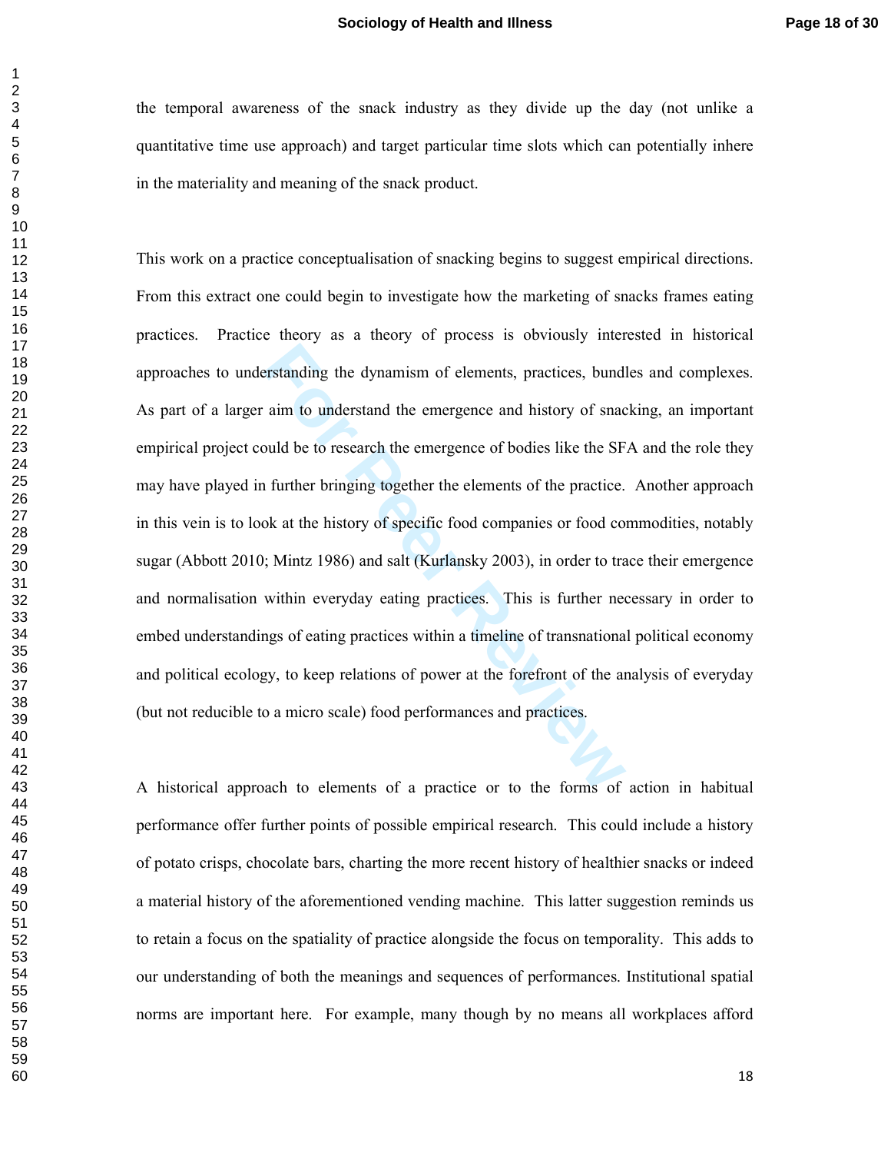the temporal awareness of the snack industry as they divide up the day (not unlike a quantitative time use approach) and target particular time slots which can potentially inhere in the materiality and meaning of the snack product.

Fortlanding the dynamism of elements, practices, bund<br>aim to understand the emergence and history of snace<br>build be to research the emergence of bodies like the SF<br>of further bringing together the elements of the practice. This work on a practice conceptualisation of snacking begins to suggest empirical directions. From this extract one could begin to investigate how the marketing of snacks frames eating practices. Practice theory as a theory of process is obviously interested in historical approaches to understanding the dynamism of elements, practices, bundles and complexes. As part of a larger aim to understand the emergence and history of snacking, an important empirical project could be to research the emergence of bodies like the SFA and the role they may have played in further bringing together the elements of the practice. Another approach in this vein is to look at the history of specific food companies or food commodities, notably sugar (Abbott 2010; Mintz 1986) and salt (Kurlansky 2003), in order to trace their emergence and normalisation within everyday eating practices. This is further necessary in order to embed understandings of eating practices within a timeline of transnational political economy and political ecology, to keep relations of power at the forefront of the analysis of everyday (but not reducible to a micro scale) food performances and practices.

A historical approach to elements of a practice or to the forms of action in habitual performance offer further points of possible empirical research. This could include a history of potato crisps, chocolate bars, charting the more recent history of healthier snacks or indeed a material history of the aforementioned vending machine. This latter suggestion reminds us to retain a focus on the spatiality of practice alongside the focus on temporality. This adds to our understanding of both the meanings and sequences of performances. Institutional spatial norms are important here. For example, many though by no means all workplaces afford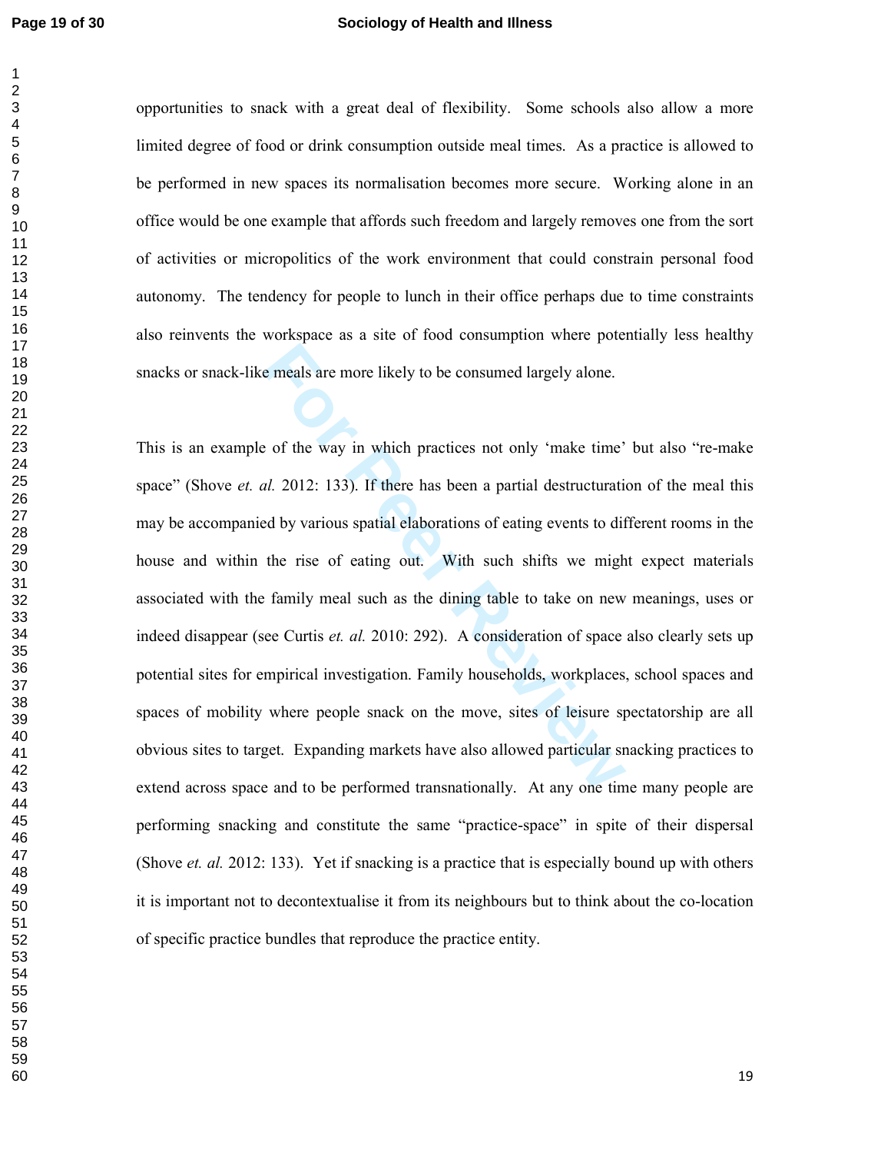#### **Page 19 of 30 Sociology of Health and Illness**

opportunities to snack with a great deal of flexibility. Some schools also allow a more limited degree of food or drink consumption outside meal times. As a practice is allowed to be performed in new spaces its normalisation becomes more secure. Working alone in an office would be one example that affords such freedom and largely removes one from the sort of activities or micropolitics of the work environment that could constrain personal food autonomy. The tendency for people to lunch in their office perhaps due to time constraints also reinvents the workspace as a site of food consumption where potentially less healthy snacks or snack-like meals are more likely to be consumed largely alone.

Example 1 and the mean of the way in which practices not only 'make time'<br> **For Peer Review 12.** 2012: 133). If there has been a partial destructuration<br>
dby various spatial elaborations of eating events to dif<br>
the rise o This is an example of the way in which practices not only 'make time' but also "re-make space" (Shove *et. al.* 2012: 133). If there has been a partial destructuration of the meal this may be accompanied by various spatial elaborations of eating events to different rooms in the house and within the rise of eating out. With such shifts we might expect materials associated with the family meal such as the dining table to take on new meanings, uses or indeed disappear (see Curtis *et. al.* 2010: 292). A consideration of space also clearly sets up potential sites for empirical investigation. Family households, workplaces, school spaces and spaces of mobility where people snack on the move, sites of leisure spectatorship are all obvious sites to target. Expanding markets have also allowed particular snacking practices to extend across space and to be performed transnationally. At any one time many people are performing snacking and constitute the same "practice-space" in spite of their dispersal (Shove *et. al.* 2012: 133). Yet if snacking is a practice that is especially bound up with others it is important not to decontextualise it from its neighbours but to think about the co-location of specific practice bundles that reproduce the practice entity.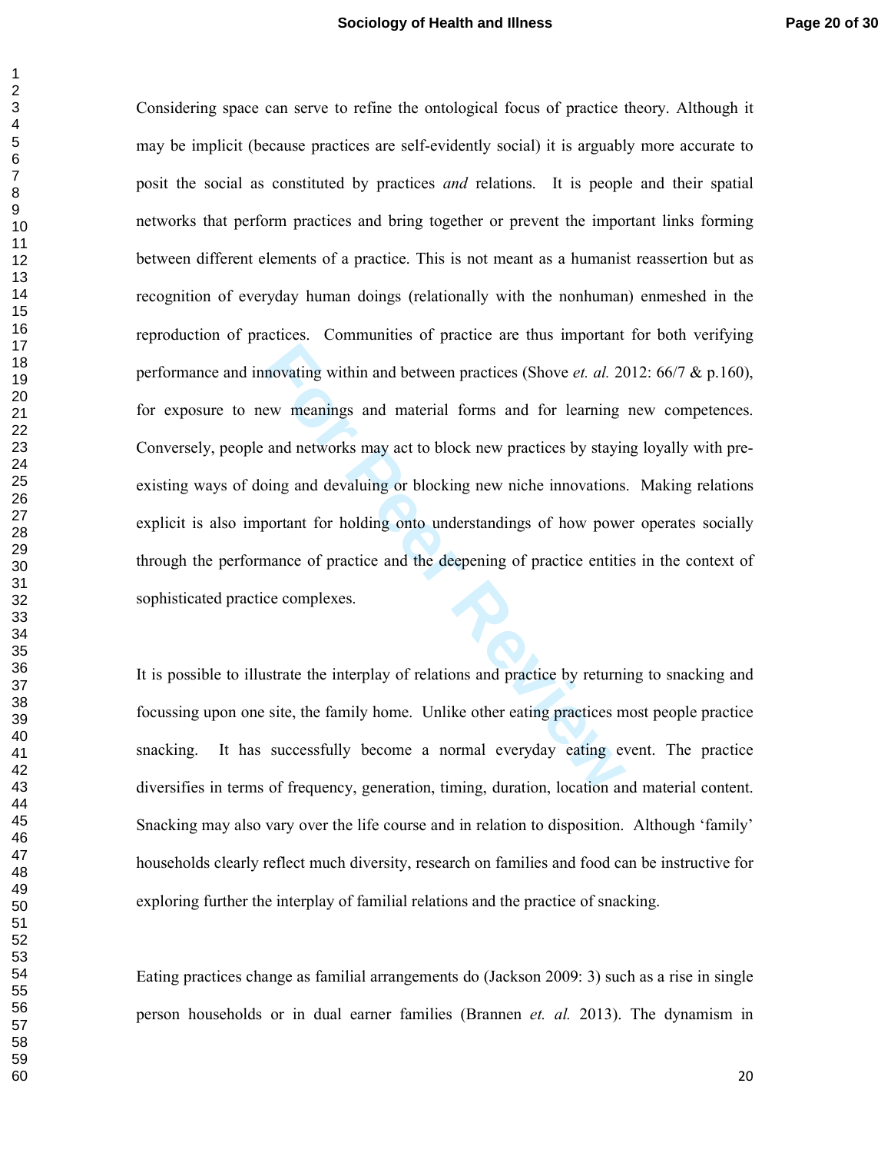Inovating within and between practices (Shove *et. al.* 20<br>
ew meanings and material forms and for learning<br>
and networks may act to block new practices by stayir<br>
bing and devaluing or blocking new niche innovations<br>
port Considering space can serve to refine the ontological focus of practice theory. Although it may be implicit (because practices are self-evidently social) it is arguably more accurate to posit the social as constituted by practices *and* relations. It is people and their spatial networks that perform practices and bring together or prevent the important links forming between different elements of a practice. This is not meant as a humanist reassertion but as recognition of everyday human doings (relationally with the nonhuman) enmeshed in the reproduction of practices. Communities of practice are thus important for both verifying performance and innovating within and between practices (Shove *et. al.* 2012: 66/7 & p.160), for exposure to new meanings and material forms and for learning new competences. Conversely, people and networks may act to block new practices by staying loyally with preexisting ways of doing and devaluing or blocking new niche innovations. Making relations explicit is also important for holding onto understandings of how power operates socially through the performance of practice and the deepening of practice entities in the context of sophisticated practice complexes.

It is possible to illustrate the interplay of relations and practice by returning to snacking and focussing upon one site, the family home. Unlike other eating practices most people practice snacking. It has successfully become a normal everyday eating event. The practice diversifies in terms of frequency, generation, timing, duration, location and material content. Snacking may also vary over the life course and in relation to disposition. Although 'family' households clearly reflect much diversity, research on families and food can be instructive for exploring further the interplay of familial relations and the practice of snacking.

Eating practices change as familial arrangements do (Jackson 2009: 3) such as a rise in single person households or in dual earner families (Brannen *et. al.* 2013). The dynamism in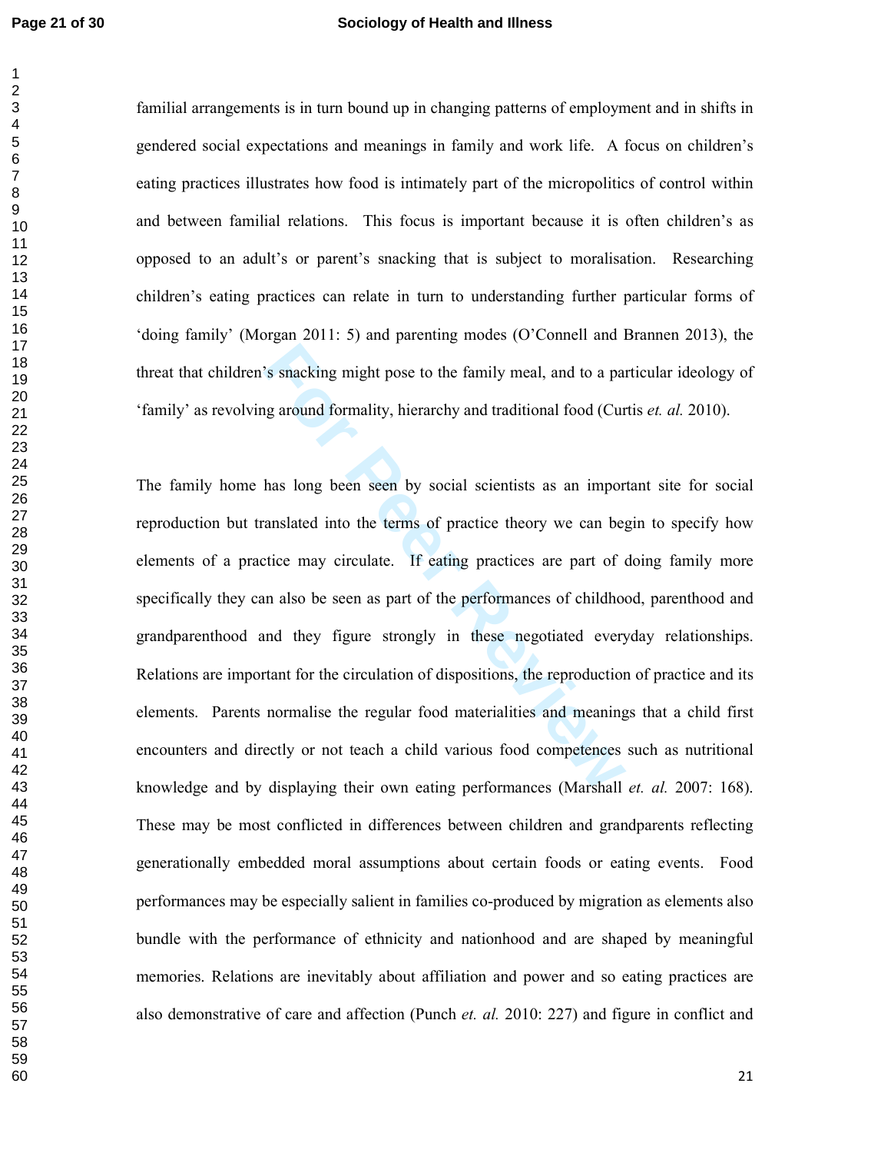#### **Page 21 of 30 Sociology of Health and Illness**

familial arrangements is in turn bound up in changing patterns of employment and in shifts in gendered social expectations and meanings in family and work life. A focus on children's eating practices illustrates how food is intimately part of the micropolitics of control within and between familial relations. This focus is important because it is often children's as opposed to an adult's or parent's snacking that is subject to moralisation. Researching children's eating practices can relate in turn to understanding further particular forms of 'doing family' (Morgan 2011: 5) and parenting modes (O'Connell and Brannen 2013), the threat that children's snacking might pose to the family meal, and to a particular ideology of 'family' as revolving around formality, hierarchy and traditional food (Curtis *et. al.* 2010).

<sup>2</sup>'s snacking might pose to the family meal, and to a pang around formality, hierarchy and traditional food (Cur<br>has long been seen by social scientists as an impor<br>anslated into the terms of practice theory we can be<sub>i</sub><br> The family home has long been seen by social scientists as an important site for social reproduction but translated into the terms of practice theory we can begin to specify how elements of a practice may circulate. If eating practices are part of doing family more specifically they can also be seen as part of the performances of childhood, parenthood and grandparenthood and they figure strongly in these negotiated everyday relationships. Relations are important for the circulation of dispositions, the reproduction of practice and its elements. Parents normalise the regular food materialities and meanings that a child first encounters and directly or not teach a child various food competences such as nutritional knowledge and by displaying their own eating performances (Marshall *et. al.* 2007: 168). These may be most conflicted in differences between children and grandparents reflecting generationally embedded moral assumptions about certain foods or eating events. Food performances may be especially salient in families co-produced by migration as elements also bundle with the performance of ethnicity and nationhood and are shaped by meaningful memories. Relations are inevitably about affiliation and power and so eating practices are also demonstrative of care and affection (Punch *et. al.* 2010: 227) and figure in conflict and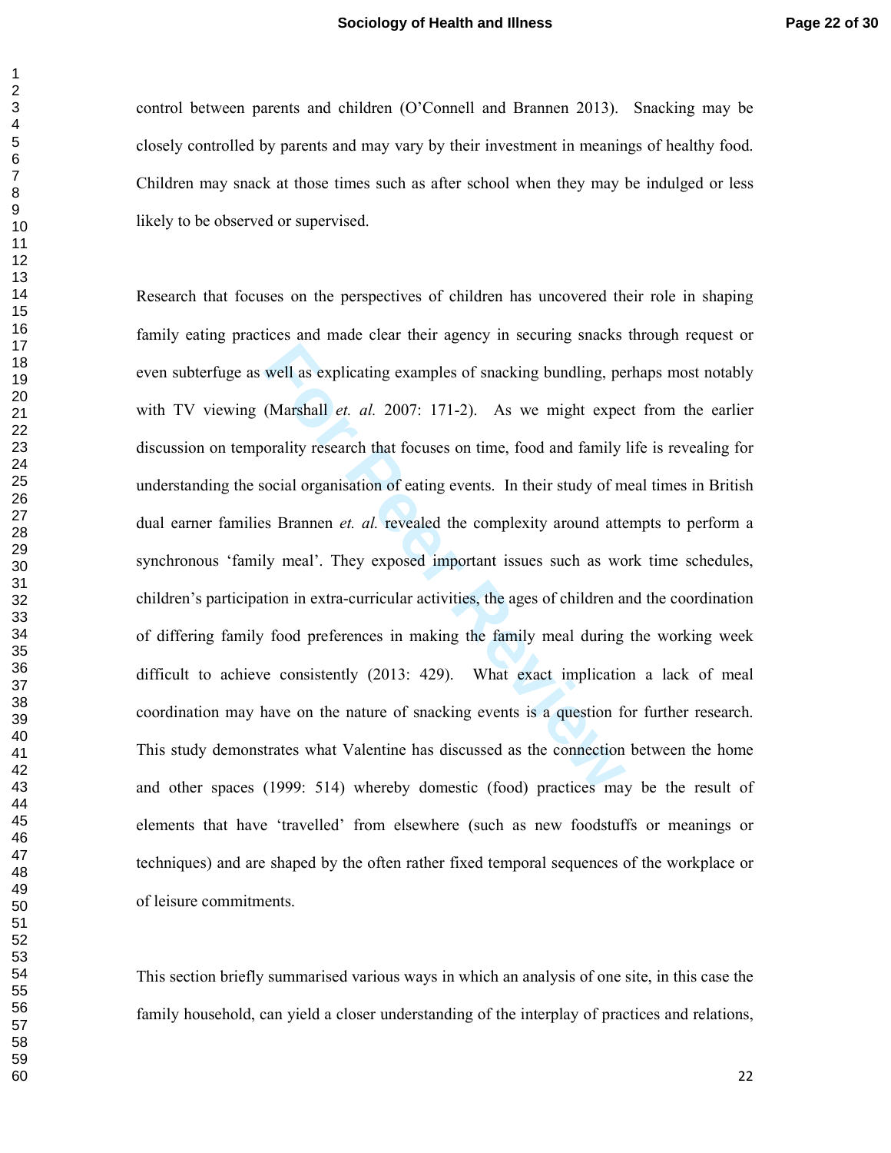control between parents and children (O'Connell and Brannen 2013). Snacking may be closely controlled by parents and may vary by their investment in meanings of healthy food. Children may snack at those times such as after school when they may be indulged or less likely to be observed or supervised.

well as explicating examples of snacking bundling, pe<br>(Marshall *et. al.* 2007: 171-2). As we might expectorality research that focuses on time, food and family<br>ocial organisation of eating events. In their study of m<br>s Br Research that focuses on the perspectives of children has uncovered their role in shaping family eating practices and made clear their agency in securing snacks through request or even subterfuge as well as explicating examples of snacking bundling, perhaps most notably with TV viewing (Marshall *et. al.* 2007: 171-2). As we might expect from the earlier discussion on temporality research that focuses on time, food and family life is revealing for understanding the social organisation of eating events. In their study of meal times in British dual earner families Brannen *et. al.* revealed the complexity around attempts to perform a synchronous 'family meal'. They exposed important issues such as work time schedules, children's participation in extra-curricular activities, the ages of children and the coordination of differing family food preferences in making the family meal during the working week difficult to achieve consistently (2013: 429). What exact implication a lack of meal coordination may have on the nature of snacking events is a question for further research. This study demonstrates what Valentine has discussed as the connection between the home and other spaces (1999: 514) whereby domestic (food) practices may be the result of elements that have 'travelled' from elsewhere (such as new foodstuffs or meanings or techniques) and are shaped by the often rather fixed temporal sequences of the workplace or of leisure commitments.

This section briefly summarised various ways in which an analysis of one site, in this case the family household, can yield a closer understanding of the interplay of practices and relations,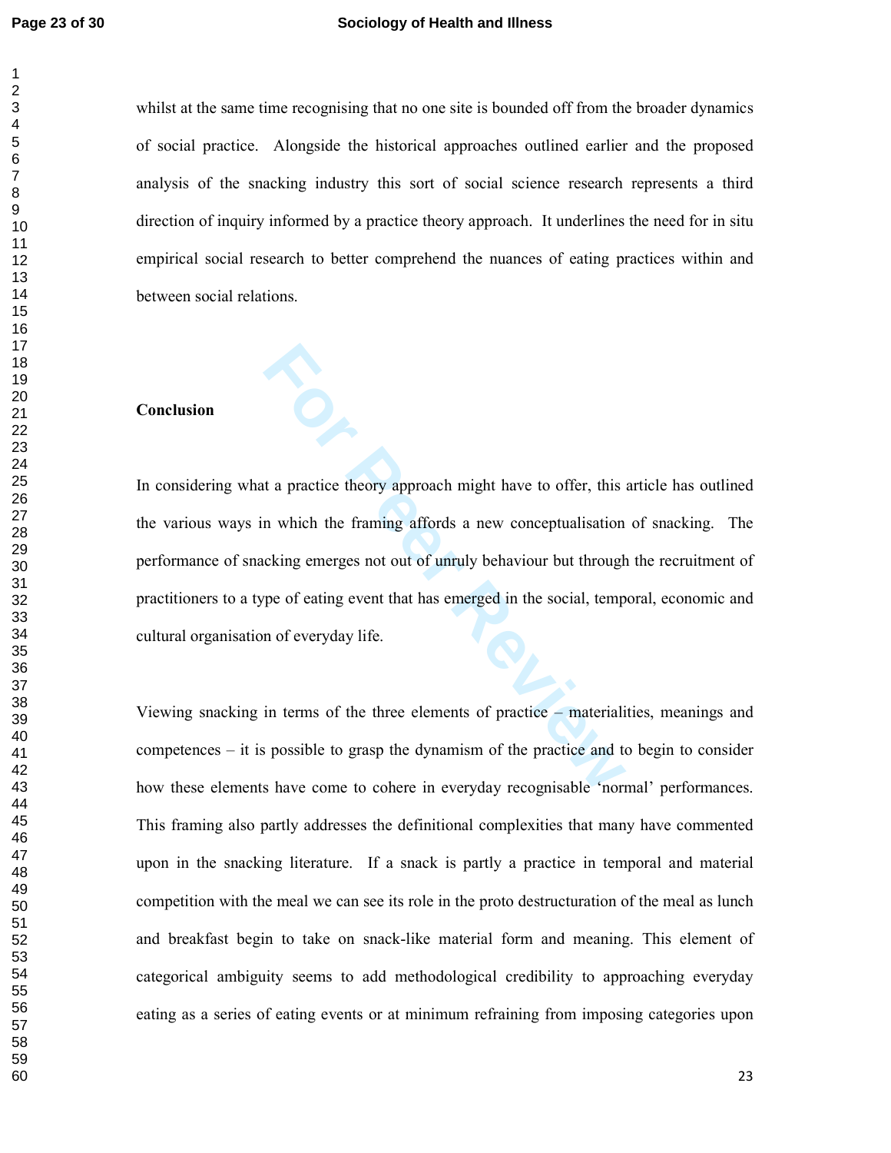$\mathbf{1}$  $\overline{2}$ 

#### **Page 23 of 30 Sociology of Health and Illness**

whilst at the same time recognising that no one site is bounded off from the broader dynamics of social practice. Alongside the historical approaches outlined earlier and the proposed analysis of the snacking industry this sort of social science research represents a third direction of inquiry informed by a practice theory approach. It underlines the need for in situ empirical social research to better comprehend the nuances of eating practices within and between social relations.

#### **Conclusion**

**For All Action** a provide theory approach might have to offer, this<br>
in which the framing affords a new conceptualisation<br>
cking emerges not out of unruly behaviour but through<br>
pe of eating event that has emerged in the In considering what a practice theory approach might have to offer, this article has outlined the various ways in which the framing affords a new conceptualisation of snacking. The performance of snacking emerges not out of unruly behaviour but through the recruitment of practitioners to a type of eating event that has emerged in the social, temporal, economic and cultural organisation of everyday life.

Viewing snacking in terms of the three elements of practice – materialities, meanings and competences – it is possible to grasp the dynamism of the practice and to begin to consider how these elements have come to cohere in everyday recognisable 'normal' performances. This framing also partly addresses the definitional complexities that many have commented upon in the snacking literature. If a snack is partly a practice in temporal and material competition with the meal we can see its role in the proto destructuration of the meal as lunch and breakfast begin to take on snack-like material form and meaning. This element of categorical ambiguity seems to add methodological credibility to approaching everyday eating as a series of eating events or at minimum refraining from imposing categories upon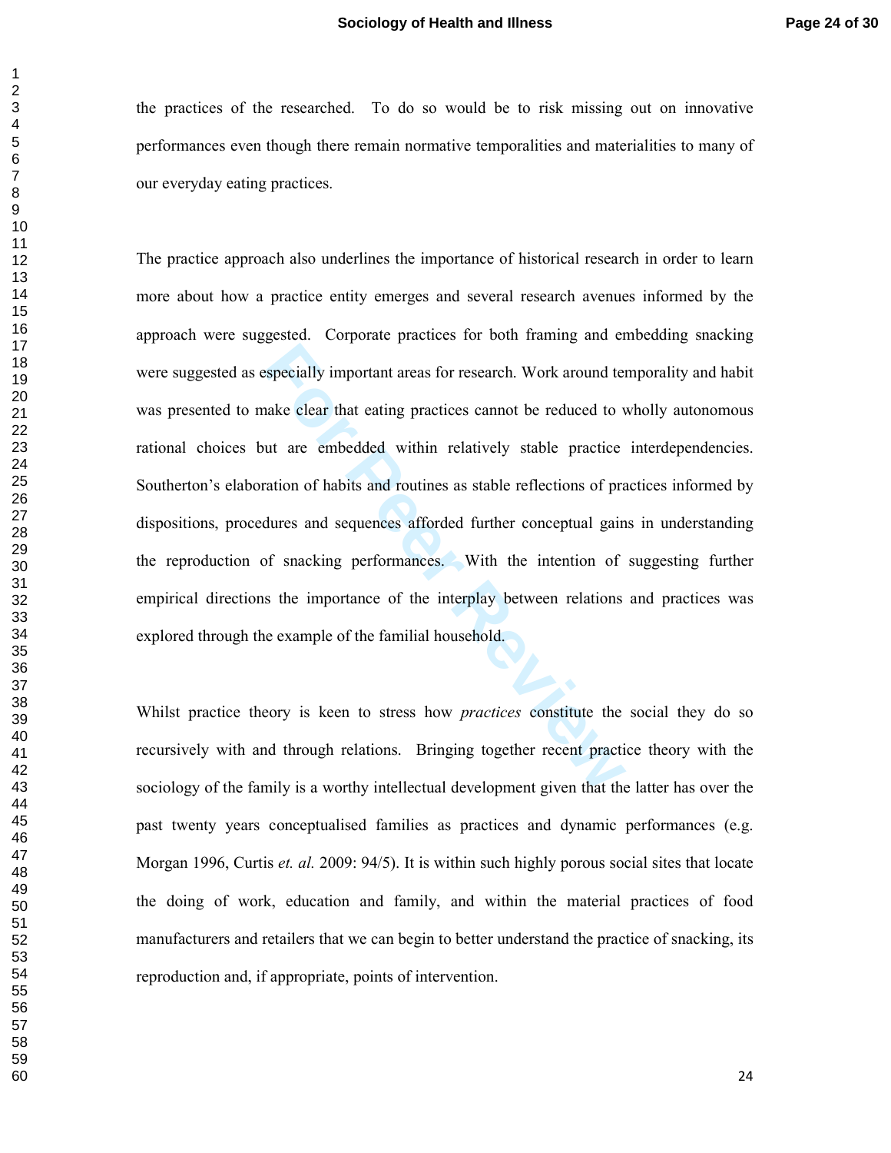the practices of the researched. To do so would be to risk missing out on innovative performances even though there remain normative temporalities and materialities to many of our everyday eating practices.

**Formular Exercise Syncially important areas for research.** Work around tenake clear that eating practices cannot be reduced to vut are embedded within relatively stable practice ration of habits and routines as stable ref The practice approach also underlines the importance of historical research in order to learn more about how a practice entity emerges and several research avenues informed by the approach were suggested. Corporate practices for both framing and embedding snacking were suggested as especially important areas for research. Work around temporality and habit was presented to make clear that eating practices cannot be reduced to wholly autonomous rational choices but are embedded within relatively stable practice interdependencies. Southerton's elaboration of habits and routines as stable reflections of practices informed by dispositions, procedures and sequences afforded further conceptual gains in understanding the reproduction of snacking performances. With the intention of suggesting further empirical directions the importance of the interplay between relations and practices was explored through the example of the familial household.

Whilst practice theory is keen to stress how *practices* constitute the social they do so recursively with and through relations. Bringing together recent practice theory with the sociology of the family is a worthy intellectual development given that the latter has over the past twenty years conceptualised families as practices and dynamic performances (e.g. Morgan 1996, Curtis *et. al.* 2009: 94/5). It is within such highly porous social sites that locate the doing of work, education and family, and within the material practices of food manufacturers and retailers that we can begin to better understand the practice of snacking, its reproduction and, if appropriate, points of intervention.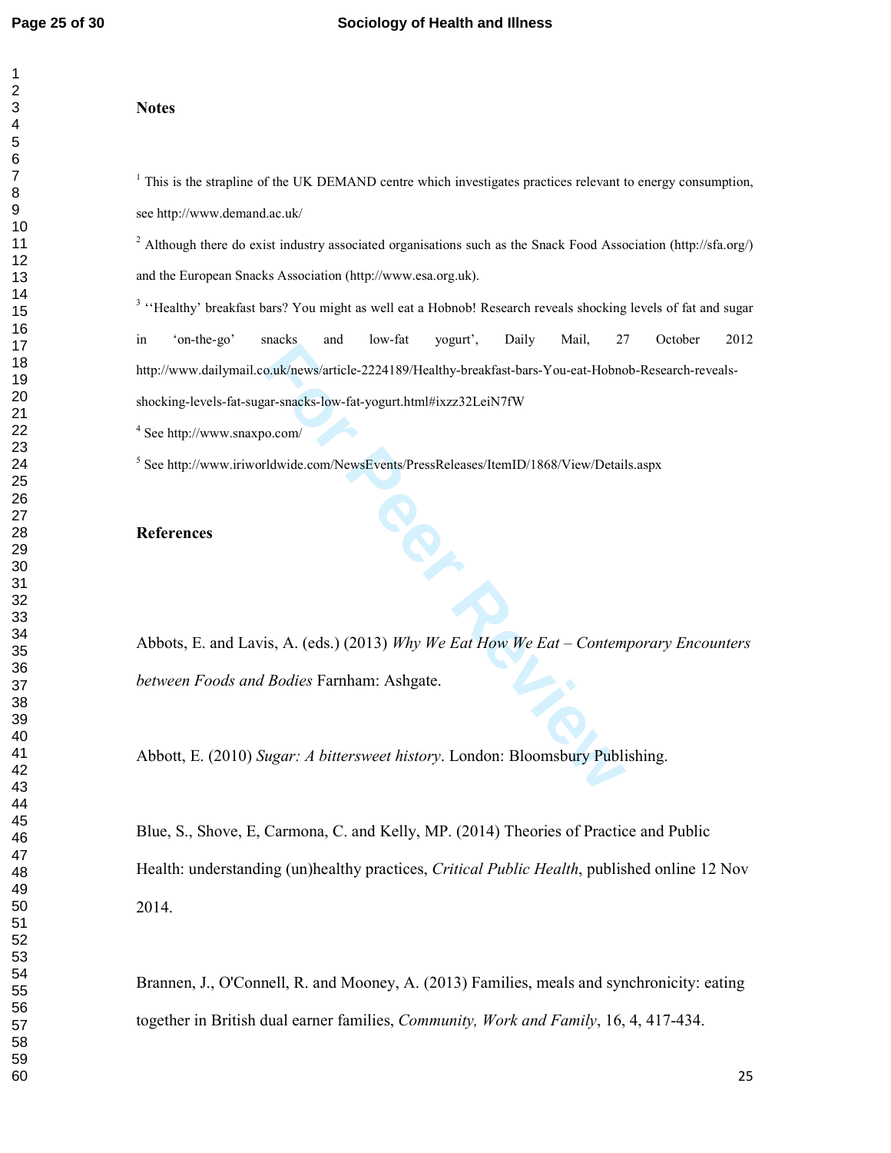#### **Notes**

<sup>1</sup> This is the strapline of the UK DEMAND centre which investigates practices relevant to energy consumption, see http://www.demand.ac.uk/

<sup>2</sup> Although there do exist industry associated organisations such as the Snack Food Association (http://sfa.org/) and the European Snacks Association (http://www.esa.org.uk).

For Peer Reviews/article-2224189/Healthy-breakfast-bars-You-eat-Hobno<br>
Are spacks-low-fat-yogurt.html#ixzz32LeiN7fW<br>
For Peer Reviews PressReleases/ItemID/1868/View/Detail<br>
For Peer Reviews PressReleases/ItemID/1868/View/D <sup>3</sup> "Healthy' breakfast bars? You might as well eat a Hobnob! Research reveals shocking levels of fat and sugar in 'on-the-go' snacks and low-fat yogurt', Daily Mail, 27 October 2012 http://www.dailymail.co.uk/news/article-2224189/Healthy-breakfast-bars-You-eat-Hobnob-Research-reveals shocking-levels-fat-sugar-snacks-low-fat-yogurt.html#ixzz32LeiN7fW

See http://www.snaxpo.com/

<sup>5</sup> See http://www.iriworldwide.com/NewsEvents/PressReleases/ItemID/1868/View/Details.aspx

## **References**

Abbots, E. and Lavis, A. (eds.) (2013) *Why We Eat How We Eat – Contemporary Encounters between Foods and Bodies* Farnham: Ashgate.

Abbott, E. (2010) *Sugar: A bittersweet history*. London: Bloomsbury Publishing.

Blue, S., Shove, E, Carmona, C. and Kelly, MP. (2014) Theories of Practice and Public Health: understanding (un)healthy practices, *Critical Public Health*, published online 12 Nov 2014.

Brannen, J., O'Connell, R. and Mooney, A. (2013) Families, meals and synchronicity: eating together in British dual earner families, *Community, Work and Family*, 16, 4, 417-434.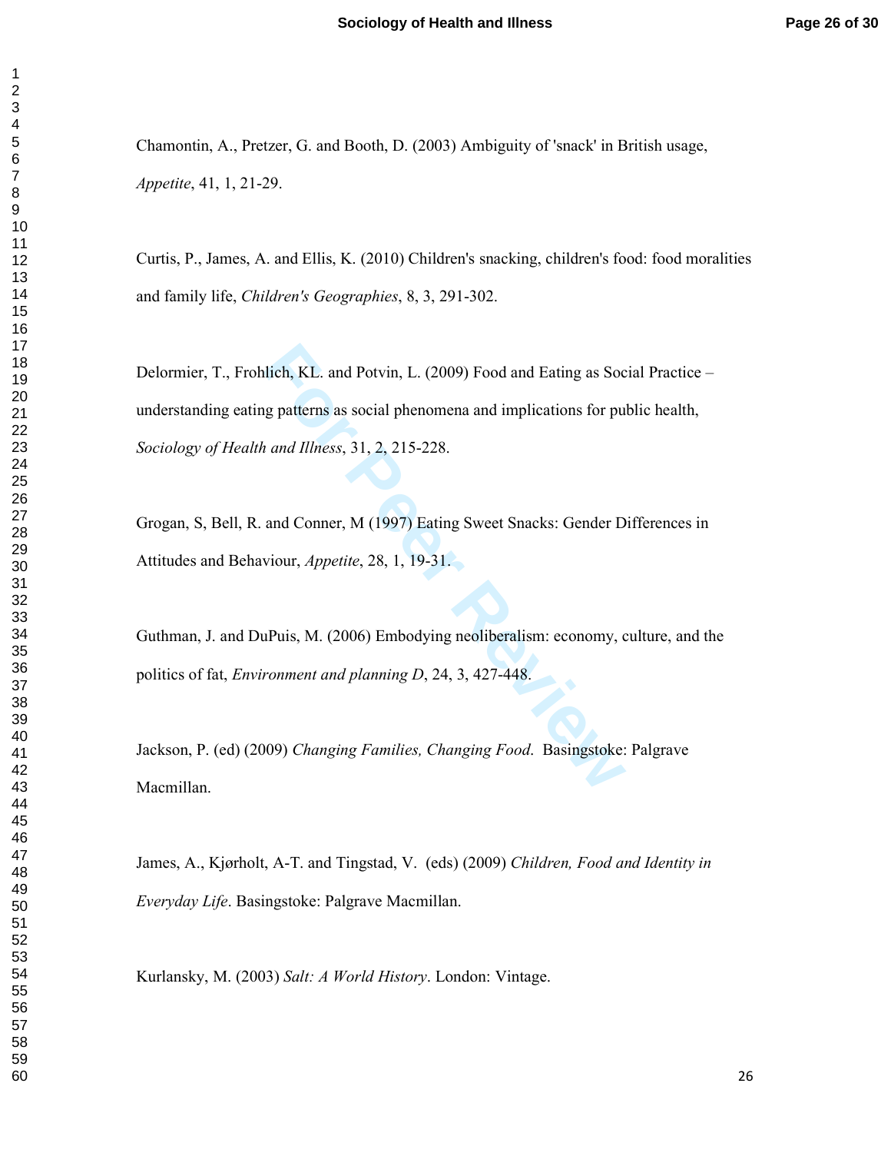Chamontin, A., Pretzer, G. and Booth, D. (2003) Ambiguity of 'snack' in British usage, *Appetite*, 41, 1, 21-29.

Curtis, P., James, A. and Ellis, K. (2010) Children's snacking, children's food: food moralities and family life, *Children's Geographies*, 8, 3, 291-302.

ilich, KL. and Potvin, L. (2009) Food and Eating as Social<br>g patterns as social phenomena and implications for pu<br>and Illness, 31, 2, 215-228.<br>and Conner, M (1997) Eating Sweet Snacks: Gender D<br>viour, *Appetite*, 28, 1, 19 Delormier, T., Frohlich, KL. and Potvin, L. (2009) Food and Eating as Social Practice – understanding eating patterns as social phenomena and implications for public health, *Sociology of Health and Illness*, 31, 2, 215-228.

Grogan, S, Bell, R. and Conner, M (1997) Eating Sweet Snacks: Gender Differences in Attitudes and Behaviour, *Appetite*, 28, 1, 19-31.

Guthman, J. and DuPuis, M. (2006) Embodying neoliberalism: economy, culture, and the politics of fat, *Environment and planning D*, 24, 3, 427-448.

Jackson, P. (ed) (2009) *Changing Families, Changing Food* . Basingstoke: Palgrave Macmillan.

James, A., Kjørholt, A-T. and Tingstad, V. (eds) (2009) *Children, Food and Identity in Everyday Life*. Basingstoke: Palgrave Macmillan.

Kurlansky, M. (2003) *Salt: A World History*. London: Vintage.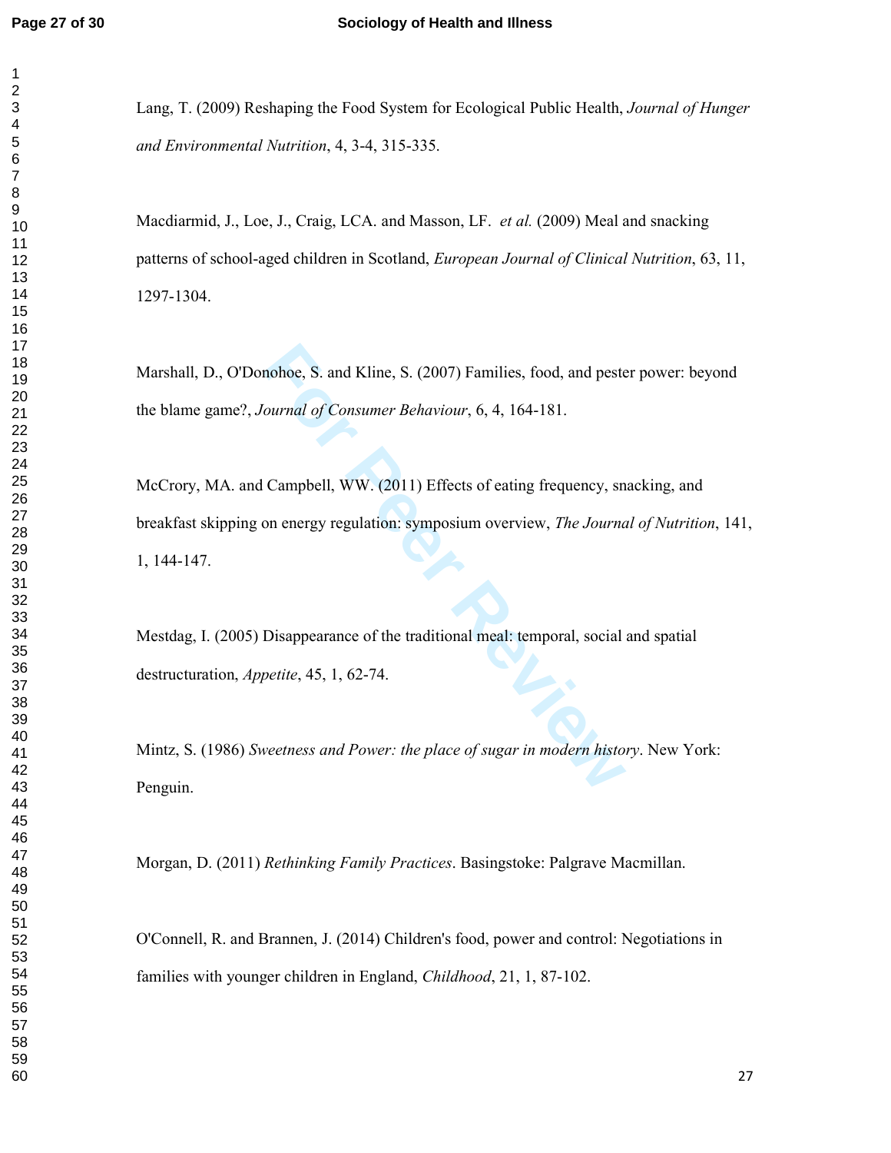$\mathbf{1}$  $\overline{2}$ 

Lang, T. (2009) Reshaping the Food System for Ecological Public Health, *Journal of Hunger and Environmental Nutrition*, 4, 3-4, 315-335.

Macdiarmid, J., Loe, J., Craig, LCA. and Masson, LF. *et al.* (2009) Meal and snacking patterns of school-aged children in Scotland, *European Journal of Clinical Nutrition*, 63, 11, 1297-1304.

Marshall, D., O'Donohoe, S. and Kline, S. (2007) Families, food, and pester power: beyond the blame game?, *Journal of Consumer Behaviour*, 6, 4, 164-181.

mohoe, S. and Kline, S. (2007) Families, food, and peste<br> *Fournal of Consumer Behaviour*, 6, 4, 164-181.<br> **For Consumer Behaviour, 6, 4, 164-181.**<br> **For Peer Review, The Journal Scheme Scheme Scheme Scheme Scheme Scheme S** McCrory, MA. and Campbell, WW. (2011) Effects of eating frequency, snacking, and breakfast skipping on energy regulation: symposium overview, *The Journal of Nutrition*, 141, 1, 144-147.

Mestdag, I. (2005) Disappearance of the traditional meal: temporal, social and spatial destructuration, *Appetite*, 45, 1, 62-74.

Mintz, S. (1986) *Sweetness and Power: the place of sugar in modern history*. New York: Penguin.

Morgan, D. (2011) *Rethinking Family Practices*. Basingstoke: Palgrave Macmillan.

O'Connell, R. and Brannen, J. (2014) Children's food, power and control: Negotiations in families with younger children in England, *Childhood*, 21, 1, 87-102.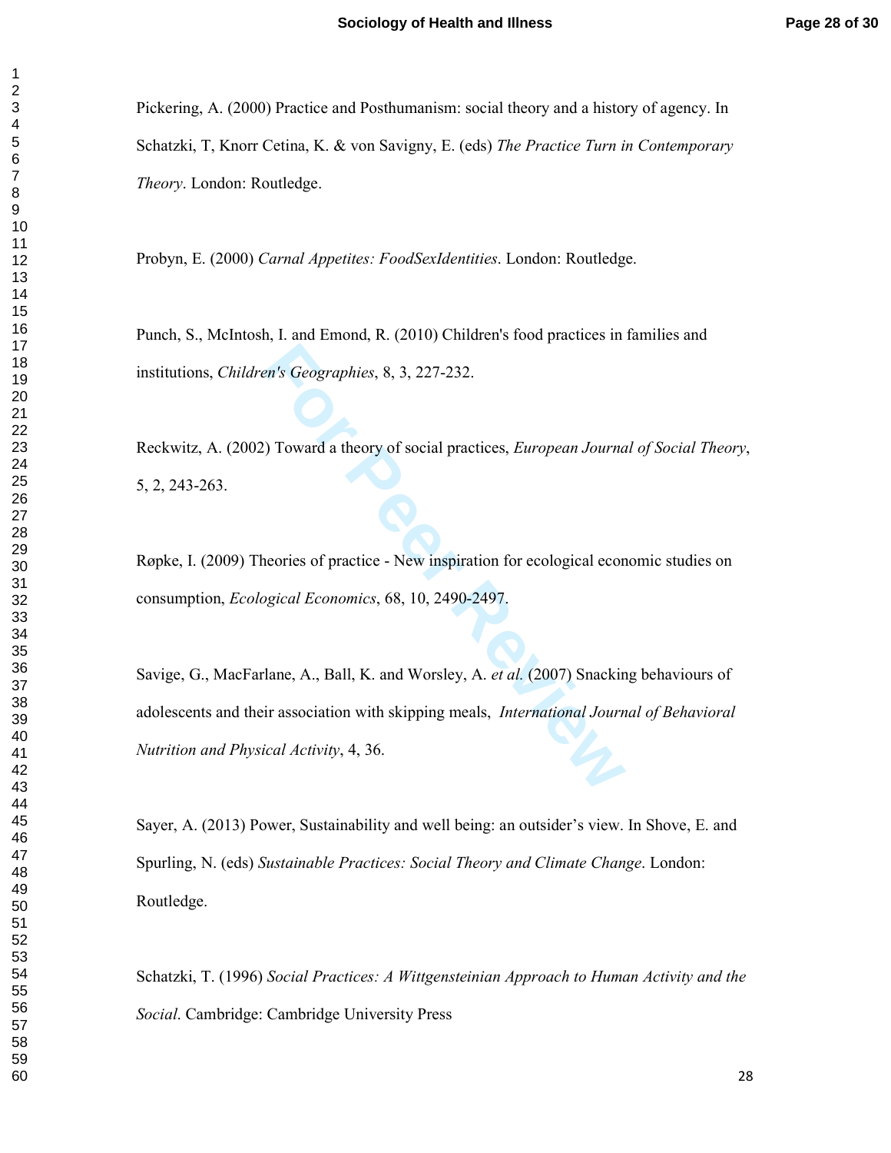Pickering, A. (2000) Practice and Posthumanism: social theory and a history of agency. In Schatzki, T, Knorr Cetina, K. & von Savigny, E. (eds) *The Practice Turn in Contemporary Theory*. London: Routledge.

Probyn, E. (2000) *Carnal Appetites: FoodSexIdentities*. London: Routledge.

Punch, S., McIntosh, I. and Emond, R. (2010) Children's food practices in families and institutions, *Children's Geographies*, 8, 3, 227-232.

Reckwitz, A. (2002) Toward a theory of social practices, *European Journal of Social Theory*, 5, 2, 243-263.

Røpke, I. (2009) Theories of practice - New inspiration for ecological economic studies on consumption, *Ecological Economics*, 68, 10, 2490-2497.

En's Geographies, 8, 3, 227-232.<br>
For Peer Review of Social practices, *European Journa*<br>
For Peeries of practice - New inspiration for ecological econ<br> *For Peer Review* inspiration for ecological econ<br> *For Peer Reviewal* Savige, G., MacFarlane, A., Ball, K. and Worsley, A. *et al.* (2007) Snacking behaviours of adolescents and their association with skipping meals, *International Journal of Behavioral Nutrition and Physical Activity*, 4, 36.

Sayer, A. (2013) Power, Sustainability and well being: an outsider's view. In Shove, E. and Spurling, N. (eds) *Sustainable Practices: Social Theory and Climate Change*. London: Routledge.

Schatzki, T. (1996) *Social Practices: A Wittgensteinian Approach to Human Activity and the Social*. Cambridge: Cambridge University Press

 $\mathbf{1}$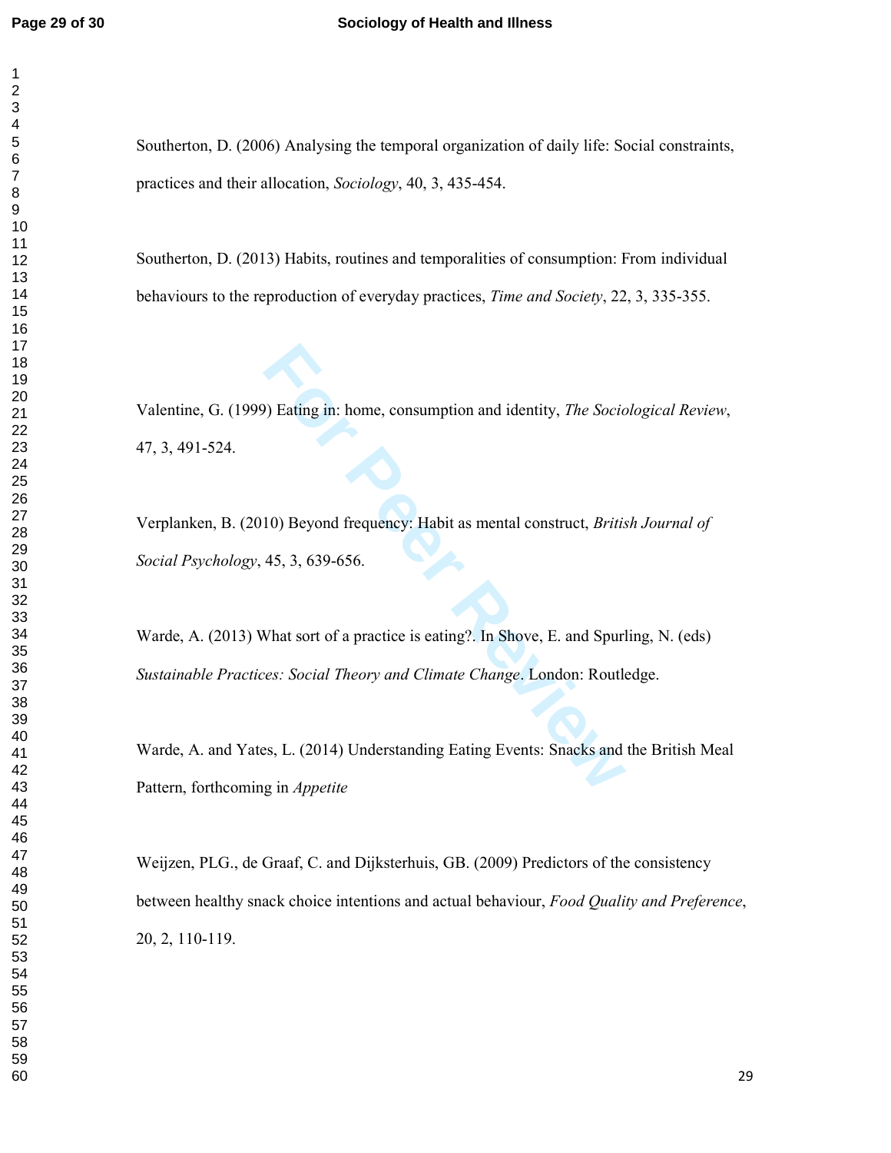Southerton, D. (2006) Analysing the temporal organization of daily life: Social constraints, practices and their allocation, *Sociology*, 40, 3, 435-454.

Southerton, D. (2013) Habits, routines and temporalities of consumption: From individual behaviours to the reproduction of everyday practices, *Time and Society*, 22, 3, 335-355.

Valentine, G. (1999) Eating in: home, consumption and identity, *The Sociological Review*, 47, 3, 491-524.

Verplanken, B. (2010) Beyond frequency: Habit as mental construct, *British Journal of Social Psychology*, 45, 3, 639-656.

For Peting in: home, consumption and identity, *The Socion*<br>
10) Beyond frequency: Habit as mental construct, *Britis*<br>
45, 3, 639-656.<br>
12) What sort of a practice is eating?. In Shove, E. and Spur<br>
12) Figures: Social Th Warde, A. (2013) What sort of a practice is eating?. In Shove, E. and Spurling, N. (eds) *Sustainable Practices: Social Theory and Climate Change*. London: Routledge.

Warde, A. and Yates, L. (2014) Understanding Eating Events: Snacks and the British Meal Pattern, forthcoming in *Appetite* 

Weijzen, PLG., de Graaf, C. and Dijksterhuis, GB. (2009) Predictors of the consistency between healthy snack choice intentions and actual behaviour, *Food Quality and Preference*, 20, 2, 110-119.